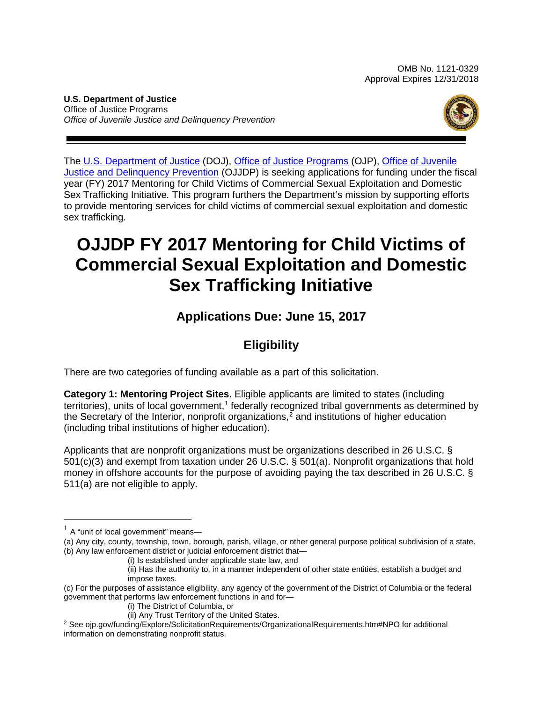OMB No. 1121-0329 Approval Expires 12/31/2018

**U.S. Department of Justice** Office of Justice Programs *Office of Juvenile Justice and Delinquency Prevention*



The [U.S. Department of Justice](http://www.usdoj.gov/) (DOJ), [Office of Justice Programs](http://www.ojp.usdoj.gov/) (OJP), [Office of Juvenile](http://www.ojjdp.gov/)  [Justice and Delinquency Prevention](http://www.ojjdp.gov/) (OJJDP) is seeking applications for funding under the fiscal year (FY) 2017 Mentoring for Child Victims of Commercial Sexual Exploitation and Domestic Sex Trafficking Initiative*.* This program furthers the Department's mission by supporting efforts to provide mentoring services for child victims of commercial sexual exploitation and domestic sex trafficking*.*

## **OJJDP FY 2017 Mentoring for Child Victims of Commercial Sexual Exploitation and Domestic Sex Trafficking Initiative**

### **Applications Due: June 15, 2017**

## **Eligibility**

There are two categories of funding available as a part of this solicitation.

**Category 1: Mentoring Project Sites.** Eligible applicants are limited to states (including territories), units of local government,<sup>[1](#page-0-0)</sup> federally recognized tribal governments as determined by the Secretary of the Interior, nonprofit organizations, [2](#page-0-1) and institutions of higher education (including tribal institutions of higher education).

Applicants that are nonprofit organizations must be organizations described in 26 U.S.C. § 501(c)(3) and exempt from taxation under 26 U.S.C. § 501(a). Nonprofit organizations that hold money in offshore accounts for the purpose of avoiding paying the tax described in 26 U.S.C. § 511(a) are not eligible to apply.

<span id="page-0-0"></span> $<sup>1</sup>$  A "unit of local government" means-</sup>

<sup>(</sup>a) Any city, county, township, town, borough, parish, village, or other general purpose political subdivision of a state. (b) Any law enforcement district or judicial enforcement district that—

<sup>(</sup>i) Is established under applicable state law, and

<sup>(</sup>ii) Has the authority to, in a manner independent of other state entities, establish a budget and impose taxes.

<sup>(</sup>c) For the purposes of assistance eligibility, any agency of the government of the District of Columbia or the federal government that performs law enforcement functions in and for—

<sup>(</sup>i) The District of Columbia, or

<span id="page-0-1"></span><sup>(</sup>ii) Any Trust Territory of the United States.<br><sup>2</sup> See ojp.gov/funding/Explore/SolicitationRequirements/OrganizationalRequirements.htm#NPO for additional information on demonstrating nonprofit status.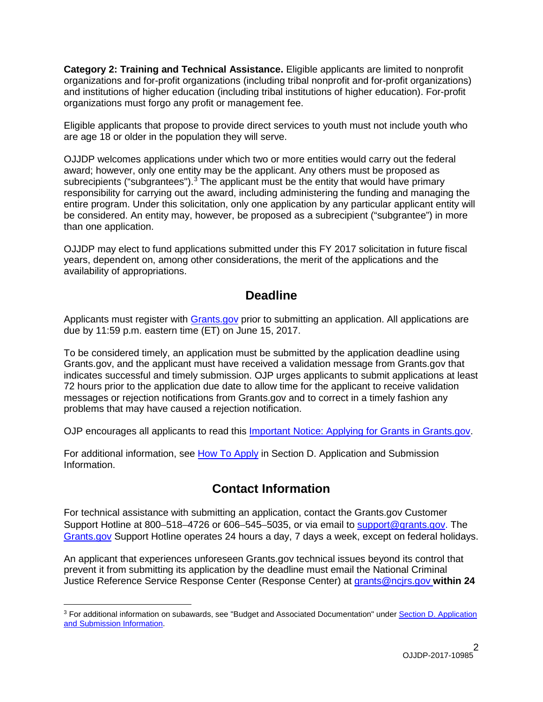**Category 2: Training and Technical Assistance.** Eligible applicants are limited to nonprofit organizations and for-profit organizations (including tribal nonprofit and for-profit organizations) and institutions of higher education (including tribal institutions of higher education). For-profit organizations must forgo any profit or management fee.

Eligible applicants that propose to provide direct services to youth must not include youth who are age 18 or older in the population they will serve.

OJJDP welcomes applications under which two or more entities would carry out the federal award; however, only one entity may be the applicant. Any others must be proposed as subrecipients ("subgrantees").<sup>[3](#page-1-0)</sup> The applicant must be the entity that would have primary responsibility for carrying out the award, including administering the funding and managing the entire program. Under this solicitation, only one application by any particular applicant entity will be considered. An entity may, however, be proposed as a subrecipient ("subgrantee") in more than one application.

OJJDP may elect to fund applications submitted under this FY 2017 solicitation in future fiscal years, dependent on, among other considerations, the merit of the applications and the availability of appropriations.

### **Deadline**

Applicants must register with [Grants.gov](http://www.grants.gov/web/grants/register.html) prior to submitting an application. All applications are due by 11:59 p.m. eastern time (ET) on June 15, 2017.

To be considered timely, an application must be submitted by the application deadline using Grants.gov, and the applicant must have received a validation message from Grants.gov that indicates successful and timely submission. OJP urges applicants to submit applications at least 72 hours prior to the application due date to allow time for the applicant to receive validation messages or rejection notifications from Grants.gov and to correct in a timely fashion any problems that may have caused a rejection notification.

OJP encourages all applicants to read this [Important Notice: Applying for Grants in Grants.gov.](http://ojp.gov/funding/Apply/Grants-govInfo.htm)

For additional information, see How [To Apply](#page-32-0) in Section [D. Application and Submission](#page-13-0)  [Information.](#page-13-0)

### **Contact Information**

For technical assistance with submitting an application, contact the Grants.gov Customer Support Hotline at 800–518–4726 or 606–545–5035, or via email to [support@grants.gov.](mailto:support@grants.gov) The [Grants.gov](http://www.grants.gov/web/grants/support.html) Support Hotline operates 24 hours a day, 7 days a week, except on federal holidays.

An applicant that experiences unforeseen Grants.gov technical issues beyond its control that prevent it from submitting its application by the deadline must email the National Criminal Justice Reference Service Response Center (Response Center) at [grants@ncjrs.gov](mailto:grants@ncjrs.gov) **within 24** 

<span id="page-1-0"></span> $\overline{a}$ <sup>3</sup> For additional information on subawards, see "Budget and Associated Documentation" under [Section D. Application](#page-13-0)  [and Submission Information.](#page-13-0)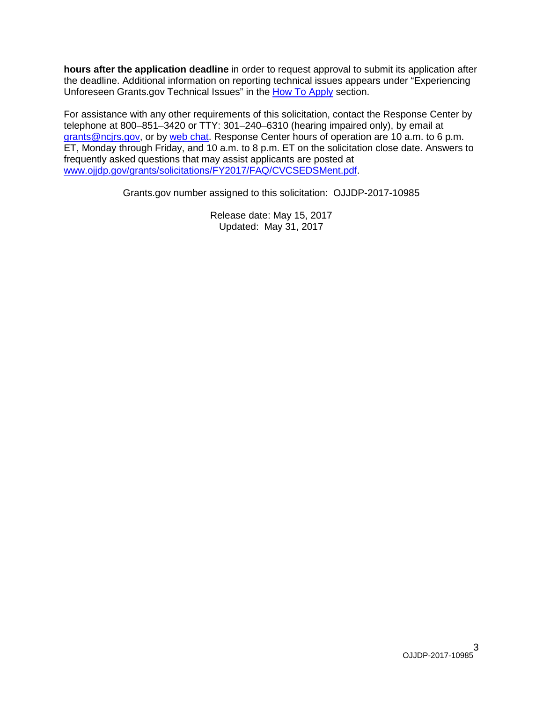**hours after the application deadline** in order to request approval to submit its application after the deadline. Additional information on reporting technical issues appears under "Experiencing Unforeseen Grants.gov Technical Issues" in the [How To Apply](#page-32-0) section.

For assistance with any other requirements of this solicitation, contact the Response Center by telephone at 800–851–3420 or TTY: 301–240–6310 (hearing impaired only), by email at [grants@ncjrs.gov,](mailto:grants@ncjrs.gov) or by [web chat.](https://webcontact.ncjrs.gov/ncjchat/chat.jsp) Response Center hours of operation are 10 a.m. to 6 p.m. ET, Monday through Friday, and 10 a.m. to 8 p.m. ET on the solicitation close date. Answers to frequently asked questions that may assist applicants are posted at [www.ojjdp.gov/grants/solicitations/FY2017/FAQ/CVCSEDSMent.pdf.](http://www.ojjdp.gov/grants/solicitations/FY2017/FAQ/CVCSEDSMent.pdf)

Grants.gov number assigned to this solicitation: OJJDP-2017-10985

Release date: May 15, 2017 Updated: May 31, 2017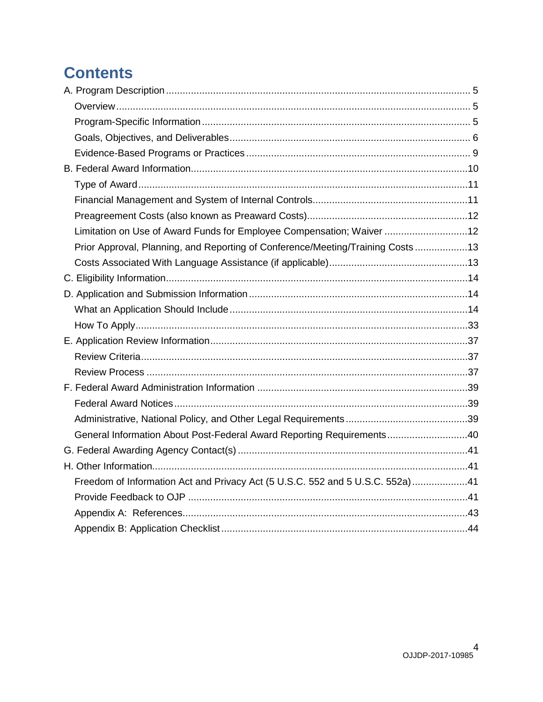## **Contents**

| Limitation on Use of Award Funds for Employee Compensation; Waiver 12          |  |
|--------------------------------------------------------------------------------|--|
| Prior Approval, Planning, and Reporting of Conference/Meeting/Training Costs13 |  |
|                                                                                |  |
|                                                                                |  |
|                                                                                |  |
|                                                                                |  |
|                                                                                |  |
|                                                                                |  |
|                                                                                |  |
|                                                                                |  |
|                                                                                |  |
|                                                                                |  |
|                                                                                |  |
| General Information About Post-Federal Award Reporting Requirements40          |  |
|                                                                                |  |
|                                                                                |  |
| Freedom of Information Act and Privacy Act (5 U.S.C. 552 and 5 U.S.C. 552a)41  |  |
|                                                                                |  |
|                                                                                |  |
|                                                                                |  |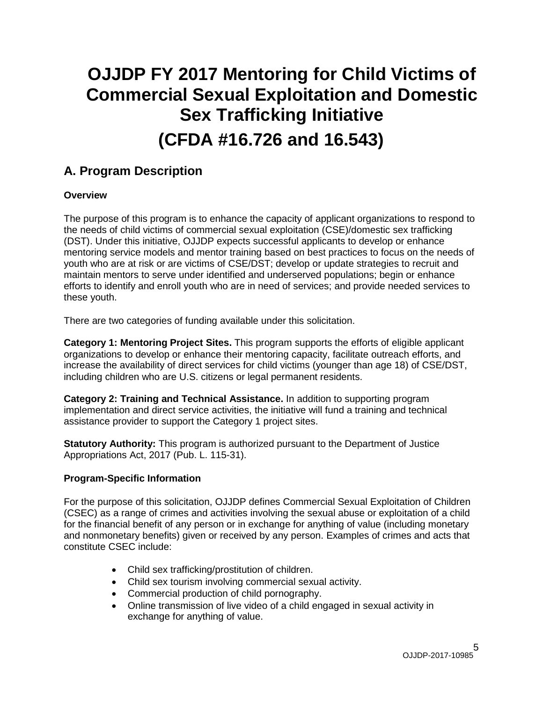# **OJJDP FY 2017 Mentoring for Child Victims of Commercial Sexual Exploitation and Domestic Sex Trafficking Initiative (CFDA #16.726 and 16.543)**

### <span id="page-4-3"></span><span id="page-4-0"></span>**A. Program Description**

#### <span id="page-4-1"></span>**Overview**

The purpose of this program is to enhance the capacity of applicant organizations to respond to the needs of child victims of commercial sexual exploitation (CSE)/domestic sex trafficking (DST). Under this initiative, OJJDP expects successful applicants to develop or enhance mentoring service models and mentor training based on best practices to focus on the needs of youth who are at risk or are victims of CSE/DST; develop or update strategies to recruit and maintain mentors to serve under identified and underserved populations; begin or enhance efforts to identify and enroll youth who are in need of services; and provide needed services to these youth.

There are two categories of funding available under this solicitation.

**Category 1: Mentoring Project Sites.** This program supports the efforts of eligible applicant organizations to develop or enhance their mentoring capacity, facilitate outreach efforts, and increase the availability of direct services for child victims (younger than age 18) of CSE/DST, including children who are U.S. citizens or legal permanent residents.

**Category 2: Training and Technical Assistance.** In addition to supporting program implementation and direct service activities, the initiative will fund a training and technical assistance provider to support the Category 1 project sites.

**Statutory Authority:** This program is authorized pursuant to the Department of Justice Appropriations Act, 2017 (Pub. L. 115-31).

#### <span id="page-4-2"></span>**Program-Specific Information**

For the purpose of this solicitation, OJJDP defines Commercial Sexual Exploitation of Children (CSEC) as a range of crimes and activities involving the sexual abuse or exploitation of a child for the financial benefit of any person or in exchange for anything of value (including monetary and nonmonetary benefits) given or received by any person. Examples of crimes and acts that constitute CSEC include:

- Child sex trafficking/prostitution of children.
- Child sex tourism involving commercial sexual activity.
- Commercial production of child pornography.
- Online transmission of live video of a child engaged in sexual activity in exchange for anything of value.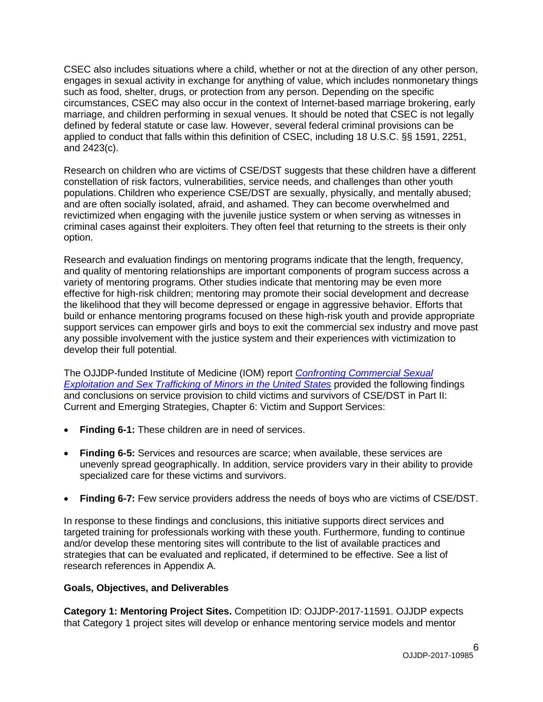CSEC also includes situations where a child, whether or not at the direction of any other person, engages in sexual activity in exchange for anything of value, which includes nonmonetary things such as food, shelter, drugs, or protection from any person. Depending on the specific circumstances, CSEC may also occur in the context of Internet-based marriage brokering, early marriage, and children performing in sexual venues. It should be noted that CSEC is not legally defined by federal statute or case law. However, several federal criminal provisions can be applied to conduct that falls within this definition of CSEC, including 18 U.S.C. §§ 1591, 2251, and 2423(c).

Research on children who are victims of CSE/DST suggests that these children have a different constellation of risk factors, vulnerabilities, service needs, and challenges than other youth populations. Children who experience CSE/DST are sexually, physically, and mentally abused; and are often socially isolated, afraid, and ashamed. They can become overwhelmed and revictimized when engaging with the juvenile justice system or when serving as witnesses in criminal cases against their exploiters. They often feel that returning to the streets is their only option.

Research and evaluation findings on mentoring programs indicate that the length, frequency, and quality of mentoring relationships are important components of program success across a variety of mentoring programs. Other studies indicate that mentoring may be even more effective for high-risk children; mentoring may promote their social development and decrease the likelihood that they will become depressed or engage in aggressive behavior. Efforts that build or enhance mentoring programs focused on these high-risk youth and provide appropriate support services can empower girls and boys to exit the commercial sex industry and move past any possible involvement with the justice system and their experiences with victimization to develop their full potential.

The OJJDP-funded Institute of Medicine (IOM) report *[Confronting Commercial Sexual](http://www.nationalacademies.org/hmd/Reports/2013/Confronting-Commercial-Sexual-Exploitation-and-Sex-Trafficking-of-Minors-in-the-United-States.aspx)  [Exploitation and Sex Trafficking of Minors in the United States](http://www.nationalacademies.org/hmd/Reports/2013/Confronting-Commercial-Sexual-Exploitation-and-Sex-Trafficking-of-Minors-in-the-United-States.aspx)* provided the following findings and conclusions on service provision to child victims and survivors of CSE/DST in Part II: Current and Emerging Strategies, Chapter 6: Victim and Support Services:

- **Finding 6-1:** These children are in need of services.
- **Finding 6-5:** Services and resources are scarce; when available, these services are unevenly spread geographically. In addition, service providers vary in their ability to provide specialized care for these victims and survivors.
- **Finding 6-7:** Few service providers address the needs of boys who are victims of CSE/DST.

In response to these findings and conclusions, this initiative supports direct services and targeted training for professionals working with these youth. Furthermore, funding to continue and/or develop these mentoring sites will contribute to the list of available practices and strategies that can be evaluated and replicated, if determined to be effective. See a list of research references in Appendix A.

#### <span id="page-5-0"></span>**Goals, Objectives, and Deliverables**

**Category 1: Mentoring Project Sites.** Competition ID: OJJDP-2017-11591. OJJDP expects that Category 1 project sites will develop or enhance mentoring service models and mentor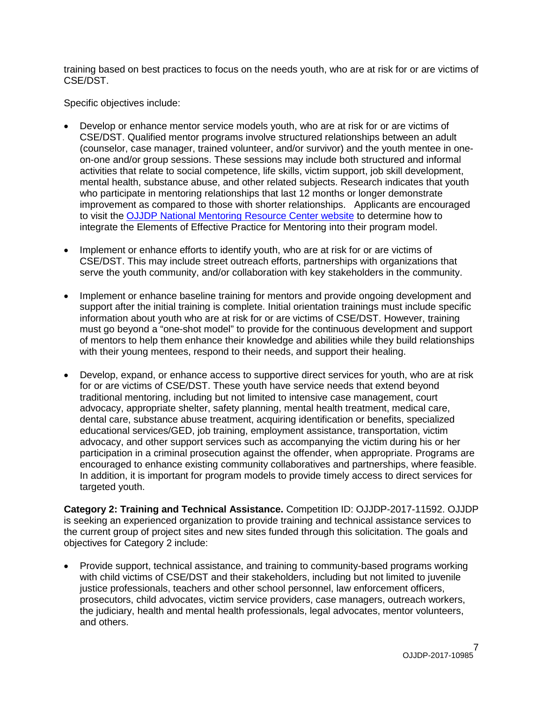training based on best practices to focus on the needs youth, who are at risk for or are victims of CSE/DST.

Specific objectives include:

- Develop or enhance mentor service models youth, who are at risk for or are victims of CSE/DST. Qualified mentor programs involve structured relationships between an adult (counselor, case manager, trained volunteer, and/or survivor) and the youth mentee in oneon-one and/or group sessions. These sessions may include both structured and informal activities that relate to social competence, life skills, victim support, job skill development, mental health, substance abuse, and other related subjects. Research indicates that youth who participate in mentoring relationships that last 12 months or longer demonstrate improvement as compared to those with shorter relationships. Applicants are encouraged to visit the [OJJDP National Mentoring Resource Center website](http://www.nationalmentoringresourcecenter.org/) to determine how to integrate the Elements of Effective Practice for Mentoring into their program model.
- Implement or enhance efforts to identify youth, who are at risk for or are victims of CSE/DST. This may include street outreach efforts, partnerships with organizations that serve the youth community, and/or collaboration with key stakeholders in the community.
- Implement or enhance baseline training for mentors and provide ongoing development and support after the initial training is complete. Initial orientation trainings must include specific information about youth who are at risk for or are victims of CSE/DST. However, training must go beyond a "one-shot model" to provide for the continuous development and support of mentors to help them enhance their knowledge and abilities while they build relationships with their young mentees, respond to their needs, and support their healing.
- Develop, expand, or enhance access to supportive direct services for youth, who are at risk for or are victims of CSE/DST. These youth have service needs that extend beyond traditional mentoring, including but not limited to intensive case management, court advocacy, appropriate shelter, safety planning, mental health treatment, medical care, dental care, substance abuse treatment, acquiring identification or benefits, specialized educational services/GED, job training, employment assistance, transportation, victim advocacy, and other support services such as accompanying the victim during his or her participation in a criminal prosecution against the offender, when appropriate. Programs are encouraged to enhance existing community collaboratives and partnerships, where feasible. In addition, it is important for program models to provide timely access to direct services for targeted youth.

**Category 2: Training and Technical Assistance.** Competition ID: OJJDP-2017-11592. OJJDP is seeking an experienced organization to provide training and technical assistance services to the current group of project sites and new sites funded through this solicitation. The goals and objectives for Category 2 include:

• Provide support, technical assistance, and training to community-based programs working with child victims of CSE/DST and their stakeholders, including but not limited to juvenile justice professionals, teachers and other school personnel, law enforcement officers, prosecutors, child advocates, victim service providers, case managers, outreach workers, the judiciary, health and mental health professionals, legal advocates, mentor volunteers, and others.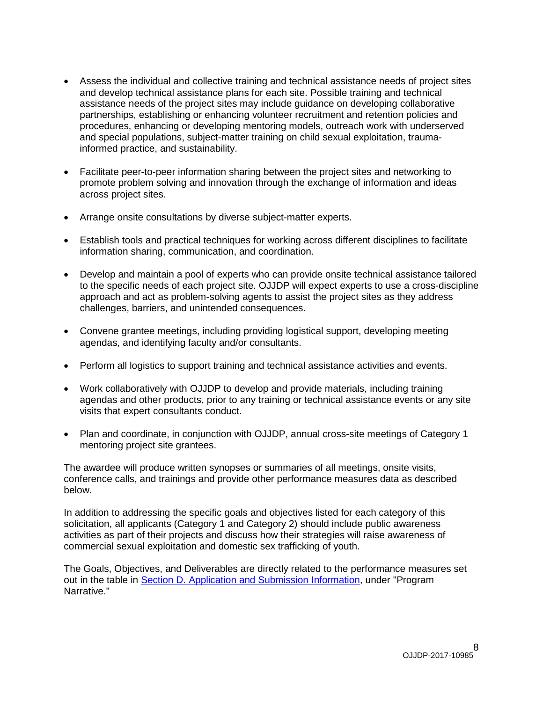- Assess the individual and collective training and technical assistance needs of project sites and develop technical assistance plans for each site. Possible training and technical assistance needs of the project sites may include guidance on developing collaborative partnerships, establishing or enhancing volunteer recruitment and retention policies and procedures, enhancing or developing mentoring models, outreach work with underserved and special populations, subject-matter training on child sexual exploitation, traumainformed practice, and sustainability.
- Facilitate peer-to-peer information sharing between the project sites and networking to promote problem solving and innovation through the exchange of information and ideas across project sites.
- Arrange onsite consultations by diverse subject-matter experts.
- Establish tools and practical techniques for working across different disciplines to facilitate information sharing, communication, and coordination.
- Develop and maintain a pool of experts who can provide onsite technical assistance tailored to the specific needs of each project site. OJJDP will expect experts to use a cross-discipline approach and act as problem-solving agents to assist the project sites as they address challenges, barriers, and unintended consequences.
- Convene grantee meetings, including providing logistical support, developing meeting agendas, and identifying faculty and/or consultants.
- Perform all logistics to support training and technical assistance activities and events.
- Work collaboratively with OJJDP to develop and provide materials, including training agendas and other products, prior to any training or technical assistance events or any site visits that expert consultants conduct.
- Plan and coordinate, in conjunction with OJJDP, annual cross-site meetings of Category 1 mentoring project site grantees.

The awardee will produce written synopses or summaries of all meetings, onsite visits, conference calls, and trainings and provide other performance measures data as described below.

In addition to addressing the specific goals and objectives listed for each category of this solicitation, all applicants (Category 1 and Category 2) should include public awareness activities as part of their projects and discuss how their strategies will raise awareness of commercial sexual exploitation and domestic sex trafficking of youth.

The Goals, Objectives, and Deliverables are directly related to the performance measures set out in the table in [Section D. Application and Submission Information,](#page-13-0) under "Program Narrative."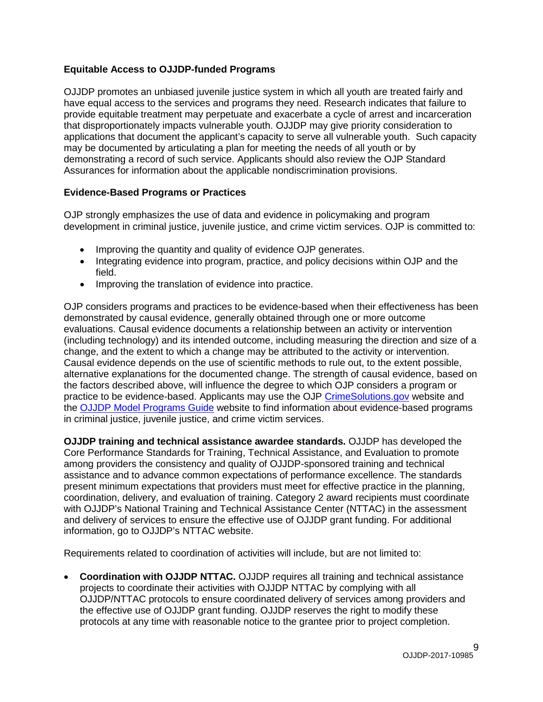#### **Equitable Access to OJJDP-funded Programs**

OJJDP promotes an unbiased juvenile justice system in which all youth are treated fairly and have equal access to the services and programs they need. Research indicates that failure to provide equitable treatment may perpetuate and exacerbate a cycle of arrest and incarceration that disproportionately impacts vulnerable youth. OJJDP may give priority consideration to applications that document the applicant's capacity to serve all vulnerable youth. Such capacity may be documented by articulating a plan for meeting the needs of all youth or by demonstrating a record of such service. Applicants should also review the OJP Standard Assurances for information about the applicable nondiscrimination provisions.

#### <span id="page-8-0"></span>**Evidence-Based Programs or Practices**

OJP strongly emphasizes the use of data and evidence in policymaking and program development in criminal justice, juvenile justice, and crime victim services. OJP is committed to:

- Improving the quantity and quality of evidence OJP generates.
- Integrating evidence into program, practice, and policy decisions within OJP and the field.
- Improving the translation of evidence into practice.

OJP considers programs and practices to be evidence-based when their effectiveness has been demonstrated by causal evidence, generally obtained through one or more outcome evaluations. Causal evidence documents a relationship between an activity or intervention (including technology) and its intended outcome, including measuring the direction and size of a change, and the extent to which a change may be attributed to the activity or intervention. Causal evidence depends on the use of scientific methods to rule out, to the extent possible, alternative explanations for the documented change. The strength of causal evidence, based on the factors described above, will influence the degree to which OJP considers a program or practice to be evidence-based. Applicants may use the OJP [CrimeSolutions.gov](http://www.crimesolutions.gov/) website and the [OJJDP Model Programs Guide](http://www.ojjdp.gov/mpg) website to find information about evidence-based programs in criminal justice, juvenile justice, and crime victim services.

**OJJDP training and technical assistance awardee standards.** OJJDP has developed the Core Performance Standards for Training, Technical Assistance, and Evaluation to promote among providers the consistency and quality of OJJDP-sponsored training and technical assistance and to advance common expectations of performance excellence. The standards present minimum expectations that providers must meet for effective practice in the planning, coordination, delivery, and evaluation of training. Category 2 award recipients must coordinate with OJJDP's National Training and Technical Assistance Center (NTTAC) in the assessment and delivery of services to ensure the effective use of OJJDP grant funding. For additional information, go to OJJDP's NTTAC website.

Requirements related to coordination of activities will include, but are not limited to:

• **Coordination with OJJDP NTTAC.** OJJDP requires all training and technical assistance projects to coordinate their activities with OJJDP NTTAC by complying with all OJJDP/NTTAC protocols to ensure coordinated delivery of services among providers and the effective use of OJJDP grant funding. OJJDP reserves the right to modify these protocols at any time with reasonable notice to the grantee prior to project completion.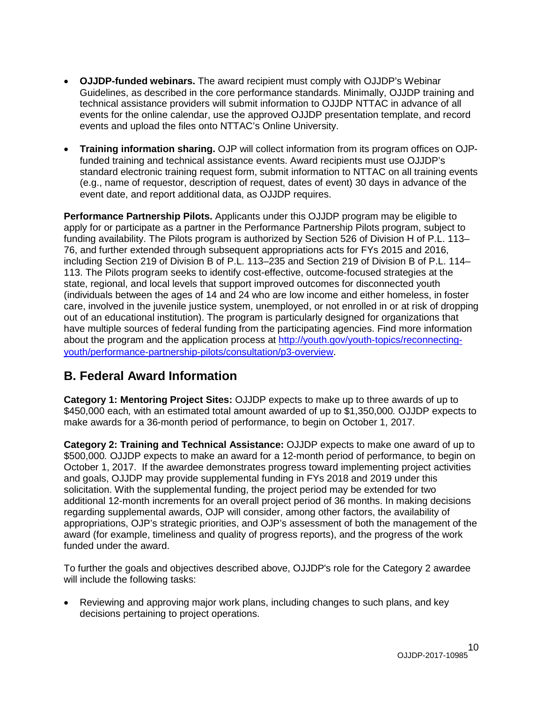- **OJJDP-funded webinars.** The award recipient must comply with OJJDP's Webinar Guidelines, as described in the core performance standards. Minimally, OJJDP training and technical assistance providers will submit information to OJJDP NTTAC in advance of all events for the online calendar, use the approved OJJDP presentation template, and record events and upload the files onto NTTAC's Online University.
- **Training information sharing.** OJP will collect information from its program offices on OJPfunded training and technical assistance events. Award recipients must use OJJDP's standard electronic training request form, submit information to NTTAC on all training events (e.g., name of requestor, description of request, dates of event) 30 days in advance of the event date, and report additional data, as OJJDP requires.

**Performance Partnership Pilots.** Applicants under this OJJDP program may be eligible to apply for or participate as a partner in the Performance Partnership Pilots program, subject to funding availability. The Pilots program is authorized by Section 526 of Division H of P.L. 113– 76, and further extended through subsequent appropriations acts for FYs 2015 and 2016, including Section 219 of Division B of P.L. 113–235 and Section 219 of Division B of P.L. 114– 113. The Pilots program seeks to identify cost-effective, outcome-focused strategies at the state, regional, and local levels that support improved outcomes for disconnected youth (individuals between the ages of 14 and 24 who are low income and either homeless, in foster care, involved in the juvenile justice system, unemployed, or not enrolled in or at risk of dropping out of an educational institution). The program is particularly designed for organizations that have multiple sources of federal funding from the participating agencies. Find more information about the program and the application process at [http://youth.gov/youth-topics/reconnecting](http://youth.gov/youth-topics/reconnecting-youth/performance-partnership-pilots/consultation/p3-overview)[youth/performance-partnership-pilots/consultation/p3-overview.](http://youth.gov/youth-topics/reconnecting-youth/performance-partnership-pilots/consultation/p3-overview)

### <span id="page-9-0"></span>**B. Federal Award Information**

**Category 1: Mentoring Project Sites:** OJJDP expects to make up to three awards of up to \$450,000 each*,* with an estimated total amount awarded of up to \$1,350,000*.* OJJDP expects to make awards for a 36-month period of performance, to begin on October 1, 2017.

**Category 2: Training and Technical Assistance:** OJJDP expects to make one award of up to \$500,000*.* OJJDP expects to make an award for a 12-month period of performance, to begin on October 1, 2017. If the awardee demonstrates progress toward implementing project activities and goals, OJJDP may provide supplemental funding in FYs 2018 and 2019 under this solicitation. With the supplemental funding, the project period may be extended for two additional 12-month increments for an overall project period of 36 months. In making decisions regarding supplemental awards, OJP will consider, among other factors, the availability of appropriations, OJP's strategic priorities, and OJP's assessment of both the management of the award (for example, timeliness and quality of progress reports), and the progress of the work funded under the award.

To further the goals and objectives described above, OJJDP's role for the Category 2 awardee will include the following tasks:

• Reviewing and approving major work plans, including changes to such plans, and key decisions pertaining to project operations.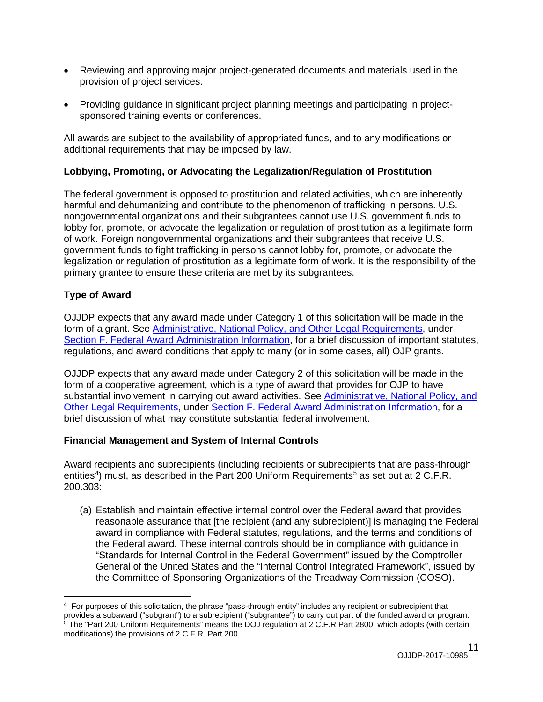- Reviewing and approving major project-generated documents and materials used in the provision of project services.
- Providing guidance in significant project planning meetings and participating in projectsponsored training events or conferences.

All awards are subject to the availability of appropriated funds, and to any modifications or additional requirements that may be imposed by law.

#### **Lobbying, Promoting, or Advocating the Legalization/Regulation of Prostitution**

The federal government is opposed to prostitution and related activities, which are inherently harmful and dehumanizing and contribute to the phenomenon of trafficking in persons. U.S. nongovernmental organizations and their subgrantees cannot use U.S. government funds to lobby for, promote, or advocate the legalization or regulation of prostitution as a legitimate form of work. Foreign nongovernmental organizations and their subgrantees that receive U.S. government funds to fight trafficking in persons cannot lobby for, promote, or advocate the legalization or regulation of prostitution as a legitimate form of work. It is the responsibility of the primary grantee to ensure these criteria are met by its subgrantees.

#### <span id="page-10-0"></span>**Type of Award**

OJJDP expects that any award made under Category 1 of this solicitation will be made in the form of a grant. See [Administrative, National Policy, and Other Legal Requirements,](#page-38-0) under [Section F. Federal Award Administration Information,](#page-38-0) for a brief discussion of important statutes, regulations, and award conditions that apply to many (or in some cases, all) OJP grants.

OJJDP expects that any award made under Category 2 of this solicitation will be made in the form of a cooperative agreement, which is a type of award that provides for OJP to have substantial involvement in carrying out award activities. See [Administrative, National Policy, and](#page-38-0)  [Other Legal Requirements,](#page-38-0) under [Section F. Federal Award Administration Information,](#page-38-0) for a brief discussion of what may constitute substantial federal involvement.

#### <span id="page-10-1"></span>**Financial Management and System of Internal Controls**

Award recipients and subrecipients (including recipients or subrecipients that are pass-through entities<sup>[4](#page-10-2)</sup>) must, as described in the Part 200 Uniform Requirements<sup>[5](#page-10-3)</sup> as set out at 2 C.F.R. 200.303:

(a) Establish and maintain effective internal control over the Federal award that provides reasonable assurance that [the recipient (and any subrecipient)] is managing the Federal award in compliance with Federal statutes, regulations, and the terms and conditions of the Federal award. These internal controls should be in compliance with guidance in "Standards for Internal Control in the Federal Government" issued by the Comptroller General of the United States and the "Internal Control Integrated Framework", issued by the Committee of Sponsoring Organizations of the Treadway Commission (COSO).

<span id="page-10-3"></span><span id="page-10-2"></span> $\overline{a}$ 4 For purposes of this solicitation, the phrase "pass-through entity" includes any recipient or subrecipient that provides a subaward ("subgrant") to a subrecipient ("subgrantee") to carry out part of the funded award or program.  $^5$  The "Part 200 Uniform Requirements" means the DOJ regulation at 2 C.F.R Part 2800, which adopts (with certain modifications) the provisions of 2 C.F.R. Part 200.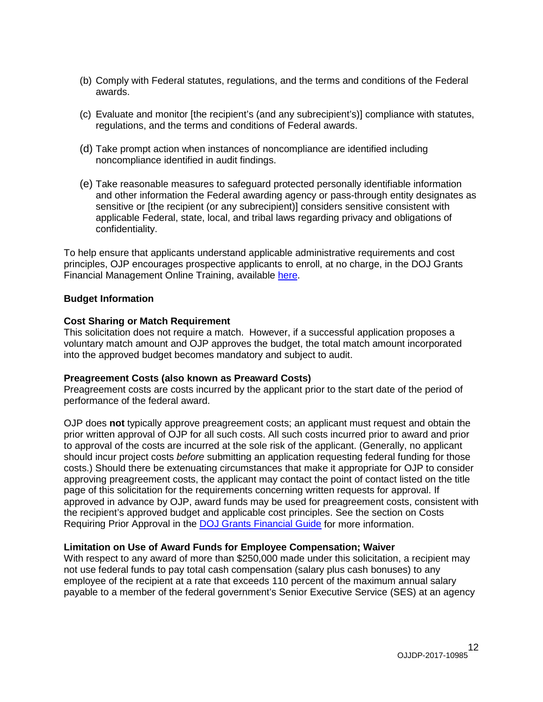- (b) Comply with Federal statutes, regulations, and the terms and conditions of the Federal awards.
- (c) Evaluate and monitor [the recipient's (and any subrecipient's)] compliance with statutes, regulations, and the terms and conditions of Federal awards.
- (d) Take prompt action when instances of noncompliance are identified including noncompliance identified in audit findings.
- (e) Take reasonable measures to safeguard protected personally identifiable information and other information the Federal awarding agency or pass-through entity designates as sensitive or [the recipient (or any subrecipient)] considers sensitive consistent with applicable Federal, state, local, and tribal laws regarding privacy and obligations of confidentiality.

To help ensure that applicants understand applicable administrative requirements and cost principles, OJP encourages prospective applicants to enroll, at no charge, in the DOJ Grants Financial Management Online Training, available [here.](http://ojpfgm.webfirst.com/)

#### **Budget Information**

#### **Cost Sharing or Match Requirement**

This solicitation does not require a match. However, if a successful application proposes a voluntary match amount and OJP approves the budget, the total match amount incorporated into the approved budget becomes mandatory and subject to audit.

#### <span id="page-11-0"></span>**Preagreement Costs (also known as Preaward Costs)**

Preagreement costs are costs incurred by the applicant prior to the start date of the period of performance of the federal award.

OJP does **not** typically approve preagreement costs; an applicant must request and obtain the prior written approval of OJP for all such costs. All such costs incurred prior to award and prior to approval of the costs are incurred at the sole risk of the applicant. (Generally, no applicant should incur project costs *before* submitting an application requesting federal funding for those costs.) Should there be extenuating circumstances that make it appropriate for OJP to consider approving preagreement costs, the applicant may contact the point of contact listed on the title page of this solicitation for the requirements concerning written requests for approval. If approved in advance by OJP, award funds may be used for preagreement costs, consistent with the recipient's approved budget and applicable cost principles. See the section on Costs Requiring Prior Approval in the [DOJ Grants Financial Guide](http://ojp.gov/financialguide/DOJ/index.htm) for more information.

#### <span id="page-11-1"></span>**Limitation on Use of Award Funds for Employee Compensation; Waiver**

With respect to any award of more than \$250,000 made under this solicitation, a recipient may not use federal funds to pay total cash compensation (salary plus cash bonuses) to any employee of the recipient at a rate that exceeds 110 percent of the maximum annual salary payable to a member of the federal government's Senior Executive Service (SES) at an agency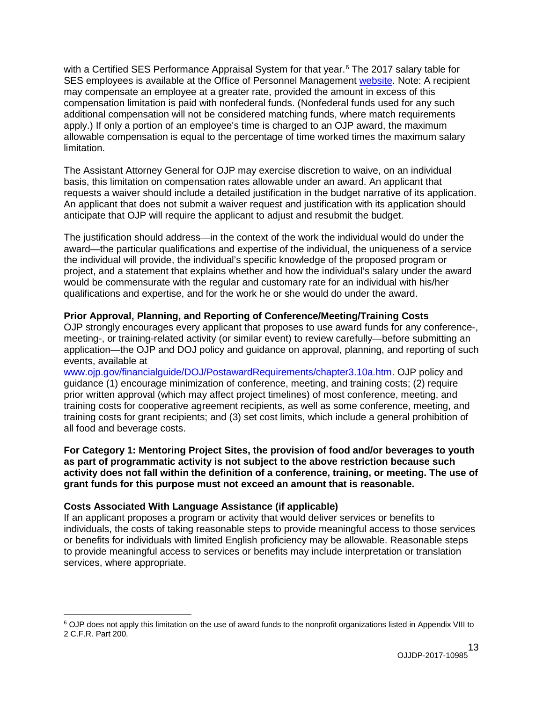with a Certified SES Performance Appraisal System for that year. [6](#page-12-2) The 2017 salary table for SES employees is available at the Office of Personnel Management [website.](http://www.opm.gov/policy-data-oversight/pay-leave/salaries-wages/salary-tables/17Tables/exec/html/ES.aspx) Note: A recipient may compensate an employee at a greater rate, provided the amount in excess of this compensation limitation is paid with nonfederal funds. (Nonfederal funds used for any such additional compensation will not be considered matching funds, where match requirements apply.) If only a portion of an employee's time is charged to an OJP award, the maximum allowable compensation is equal to the percentage of time worked times the maximum salary limitation.

The Assistant Attorney General for OJP may exercise discretion to waive, on an individual basis, this limitation on compensation rates allowable under an award. An applicant that requests a waiver should include a detailed justification in the budget narrative of its application. An applicant that does not submit a waiver request and justification with its application should anticipate that OJP will require the applicant to adjust and resubmit the budget.

The justification should address—in the context of the work the individual would do under the award—the particular qualifications and expertise of the individual, the uniqueness of a service the individual will provide, the individual's specific knowledge of the proposed program or project, and a statement that explains whether and how the individual's salary under the award would be commensurate with the regular and customary rate for an individual with his/her qualifications and expertise, and for the work he or she would do under the award.

#### <span id="page-12-0"></span>**Prior Approval, Planning, and Reporting of Conference/Meeting/Training Costs**

OJP strongly encourages every applicant that proposes to use award funds for any conference-, meeting-, or training-related activity (or similar event) to review carefully—before submitting an application—the OJP and DOJ policy and guidance on approval, planning, and reporting of such events, available at

[www.ojp.gov/financialguide/DOJ/PostawardRequirements/chapter3.10a.htm.](http://www.ojp.gov/financialguide/DOJ/PostawardRequirements/chapter3.10a.htm) OJP policy and guidance (1) encourage minimization of conference, meeting, and training costs; (2) require prior written approval (which may affect project timelines) of most conference, meeting, and training costs for cooperative agreement recipients, as well as some conference, meeting, and training costs for grant recipients; and (3) set cost limits, which include a general prohibition of all food and beverage costs.

**For Category 1: Mentoring Project Sites, the provision of food and/or beverages to youth as part of programmatic activity is not subject to the above restriction because such activity does not fall within the definition of a conference, training, or meeting. The use of grant funds for this purpose must not exceed an amount that is reasonable.** 

#### <span id="page-12-1"></span>**Costs Associated With Language Assistance (if applicable)**

 $\overline{a}$ 

If an applicant proposes a program or activity that would deliver services or benefits to individuals, the costs of taking reasonable steps to provide meaningful access to those services or benefits for individuals with limited English proficiency may be allowable. Reasonable steps to provide meaningful access to services or benefits may include interpretation or translation services, where appropriate.

<span id="page-12-2"></span><sup>6</sup> OJP does not apply this limitation on the use of award funds to the nonprofit organizations listed in Appendix VIII to 2 C.F.R. Part 200.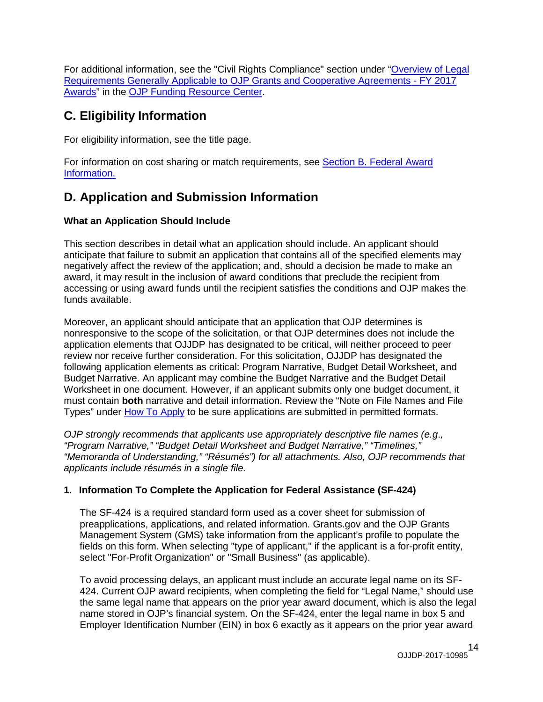For additional information, see the "Civil Rights Compliance" section under ["Overview of Legal](http://ojp.gov/funding/Explore/SolicitationRequirements/index.htm)  [Requirements Generally Applicable to OJP Grants and Cooperative Agreements -](http://ojp.gov/funding/Explore/SolicitationRequirements/index.htm) FY 2017 [Awards"](http://ojp.gov/funding/Explore/SolicitationRequirements/index.htm) in the [OJP Funding Resource Center.](http://ojp.gov/funding/index.htm)

### <span id="page-13-1"></span>**C. Eligibility Information**

For eligibility information, see the title page.

For information on cost sharing or match requirements, see Section [B. Federal Award](#page-9-0)  [Information.](#page-9-0)

### <span id="page-13-0"></span>**D. Application and Submission Information**

#### <span id="page-13-2"></span>**What an Application Should Include**

This section describes in detail what an application should include. An applicant should anticipate that failure to submit an application that contains all of the specified elements may negatively affect the review of the application; and, should a decision be made to make an award, it may result in the inclusion of award conditions that preclude the recipient from accessing or using award funds until the recipient satisfies the conditions and OJP makes the funds available.

Moreover, an applicant should anticipate that an application that OJP determines is nonresponsive to the scope of the solicitation, or that OJP determines does not include the application elements that OJJDP has designated to be critical, will neither proceed to peer review nor receive further consideration. For this solicitation, OJJDP has designated the following application elements as critical: Program Narrative, Budget Detail Worksheet, and Budget Narrative. An applicant may combine the Budget Narrative and the Budget Detail Worksheet in one document. However, if an applicant submits only one budget document, it must contain **both** narrative and detail information. Review the "Note on File Names and File Types" under [How To Apply](#page-32-0) to be sure applications are submitted in permitted formats.

*OJP strongly recommends that applicants use appropriately descriptive file names (e.g*.*, "Program Narrative," "Budget Detail Worksheet and Budget Narrative," "Timelines," "Memoranda of Understanding," "Résumés") for all attachments. Also, OJP recommends that applicants include résumés in a single file.*

### **1. Information To Complete the Application for Federal Assistance (SF-424)**

The SF-424 is a required standard form used as a cover sheet for submission of preapplications, applications, and related information. Grants.gov and the OJP Grants Management System (GMS) take information from the applicant's profile to populate the fields on this form. When selecting "type of applicant," if the applicant is a for-profit entity, select "For-Profit Organization" or "Small Business" (as applicable).

To avoid processing delays, an applicant must include an accurate legal name on its SF-424. Current OJP award recipients, when completing the field for "Legal Name," should use the same legal name that appears on the prior year award document, which is also the legal name stored in OJP's financial system. On the SF-424, enter the legal name in box 5 and Employer Identification Number (EIN) in box 6 exactly as it appears on the prior year award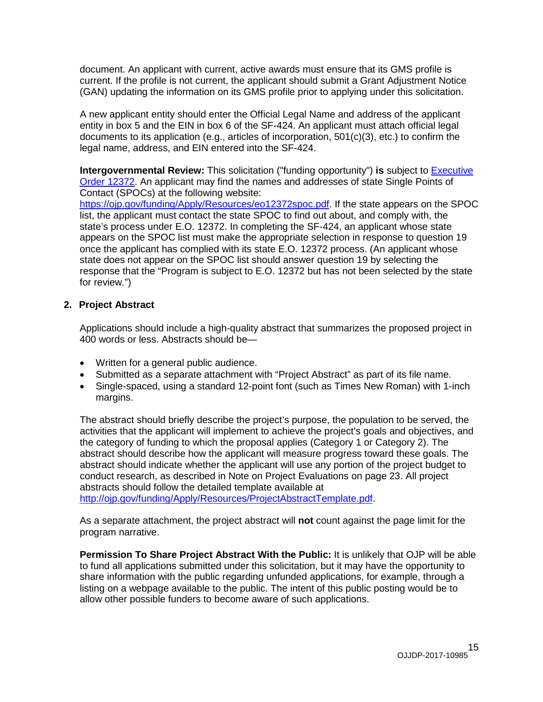document. An applicant with current, active awards must ensure that its GMS profile is current. If the profile is not current, the applicant should submit a Grant Adjustment Notice (GAN) updating the information on its GMS profile prior to applying under this solicitation.

A new applicant entity should enter the Official Legal Name and address of the applicant entity in box 5 and the EIN in box 6 of the SF-424. An applicant must attach official legal documents to its application (e.g., articles of incorporation, 501(c)(3), etc.) to confirm the legal name, address, and EIN entered into the SF-424.

**Intergovernmental Review:** This solicitation ("funding opportunity") **is** subject to [Executive](http://www.archives.gov/federal-register/codification/executive-order/12372.html)  [Order 12372.](http://www.archives.gov/federal-register/codification/executive-order/12372.html) An applicant may find the names and addresses of state Single Points of Contact (SPOCs) at the following website:

[https://ojp.gov/funding/Apply/Resources/eo12372spoc.pdf.](https://ojp.gov/funding/Apply/Resources/eo12372spoc.pdf) If the state appears on the SPOC list, the applicant must contact the state SPOC to find out about, and comply with, the state's process under E.O. 12372. In completing the SF-424, an applicant whose state appears on the SPOC list must make the appropriate selection in response to question 19 once the applicant has complied with its state E.O. 12372 process. (An applicant whose state does not appear on the SPOC list should answer question 19 by selecting the response that the "Program is subject to E.O. 12372 but has not been selected by the state for review.")

#### **2. Project Abstract**

Applications should include a high-quality abstract that summarizes the proposed project in 400 words or less. Abstracts should be—

- Written for a general public audience.
- Submitted as a separate attachment with "Project Abstract" as part of its file name.
- Single-spaced, using a standard 12-point font (such as Times New Roman) with 1-inch margins.

The abstract should briefly describe the project's purpose, the population to be served, the activities that the applicant will implement to achieve the project's goals and objectives, and the category of funding to which the proposal applies (Category 1 or Category 2). The abstract should describe how the applicant will measure progress toward these goals. The abstract should indicate whether the applicant will use any portion of the project budget to conduct research, as described in Note on Project Evaluations on page 23. All project abstracts should follow the detailed template available at http://oip.gov/funding/Apply/Resources/ProjectAbstractTemplate.pdf.

As a separate attachment, the project abstract will **not** count against the page limit for the program narrative.

**Permission To Share Project Abstract With the Public:** It is unlikely that OJP will be able to fund all applications submitted under this solicitation, but it may have the opportunity to share information with the public regarding unfunded applications, for example, through a listing on a webpage available to the public. The intent of this public posting would be to allow other possible funders to become aware of such applications.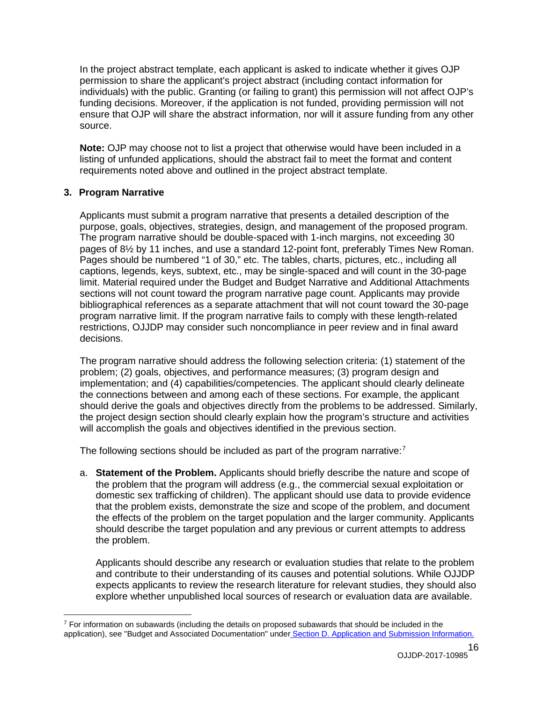In the project abstract template, each applicant is asked to indicate whether it gives OJP permission to share the applicant's project abstract (including contact information for individuals) with the public. Granting (or failing to grant) this permission will not affect OJP's funding decisions. Moreover, if the application is not funded, providing permission will not ensure that OJP will share the abstract information, nor will it assure funding from any other source.

**Note:** OJP may choose not to list a project that otherwise would have been included in a listing of unfunded applications, should the abstract fail to meet the format and content requirements noted above and outlined in the project abstract template.

#### **3. Program Narrative**

Applicants must submit a program narrative that presents a detailed description of the purpose, goals, objectives, strategies, design, and management of the proposed program. The program narrative should be double-spaced with 1-inch margins, not exceeding 30 pages of 8½ by 11 inches, and use a standard 12-point font, preferably Times New Roman. Pages should be numbered "1 of 30," etc. The tables, charts, pictures, etc., including all captions, legends, keys, subtext, etc., may be single-spaced and will count in the 30-page limit. Material required under the Budget and Budget Narrative and Additional Attachments sections will not count toward the program narrative page count. Applicants may provide bibliographical references as a separate attachment that will not count toward the 30-page program narrative limit. If the program narrative fails to comply with these length-related restrictions, OJJDP may consider such noncompliance in peer review and in final award decisions.

The program narrative should address the following selection criteria: (1) statement of the problem; (2) goals, objectives, and performance measures; (3) program design and implementation; and (4) capabilities/competencies. The applicant should clearly delineate the connections between and among each of these sections. For example, the applicant should derive the goals and objectives directly from the problems to be addressed. Similarly, the project design section should clearly explain how the program's structure and activities will accomplish the goals and objectives identified in the previous section.

The following sections should be included as part of the program narrative:<sup>[7](#page-15-0)</sup>

a. **Statement of the Problem.** Applicants should briefly describe the nature and scope of the problem that the program will address (e.g., the commercial sexual exploitation or domestic sex trafficking of children). The applicant should use data to provide evidence that the problem exists, demonstrate the size and scope of the problem, and document the effects of the problem on the target population and the larger community. Applicants should describe the target population and any previous or current attempts to address the problem.

Applicants should describe any research or evaluation studies that relate to the problem and contribute to their understanding of its causes and potential solutions. While OJJDP expects applicants to review the research literature for relevant studies, they should also explore whether unpublished local sources of research or evaluation data are available.

<span id="page-15-0"></span> $\overline{a}$  $7$  For information on subawards (including the details on proposed subawards that should be included in the application), see "Budget and Associated Documentation" under [Section D. Application and Submission Information.](#page-13-0)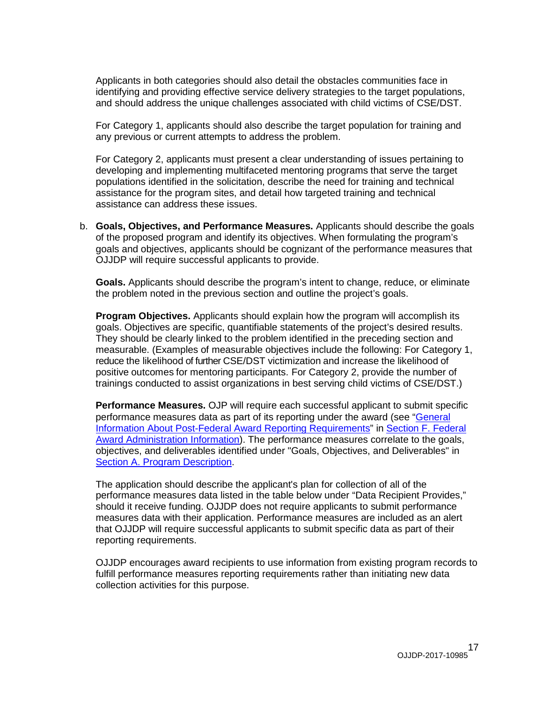Applicants in both categories should also detail the obstacles communities face in identifying and providing effective service delivery strategies to the target populations, and should address the unique challenges associated with child victims of CSE/DST.

For Category 1, applicants should also describe the target population for training and any previous or current attempts to address the problem.

For Category 2, applicants must present a clear understanding of issues pertaining to developing and implementing multifaceted mentoring programs that serve the target populations identified in the solicitation, describe the need for training and technical assistance for the program sites, and detail how targeted training and technical assistance can address these issues.

b. **Goals, Objectives, and Performance Measures.** Applicants should describe the goals of the proposed program and identify its objectives. When formulating the program's goals and objectives, applicants should be cognizant of the performance measures that OJJDP will require successful applicants to provide.

**Goals.** Applicants should describe the program's intent to change, reduce, or eliminate the problem noted in the previous section and outline the project's goals.

**Program Objectives.** Applicants should explain how the program will accomplish its goals. Objectives are specific, quantifiable statements of the project's desired results. They should be clearly linked to the problem identified in the preceding section and measurable. (Examples of measurable objectives include the following: For Category 1, reduce the likelihood of further CSE/DST victimization and increase the likelihood of positive outcomes for mentoring participants. For Category 2, provide the number of trainings conducted to assist organizations in best serving child victims of CSE/DST.)

**Performance Measures.** OJP will require each successful applicant to submit specific performance measures data as part of its reporting under the award (see "General [Information About Post-Federal Award Reporting Requirements"](#page-39-0) in [Section F. Federal](#page-38-0)  [Award Administration Information\)](#page-38-0). The performance measures correlate to the goals, objectives, and deliverables identified under "Goals, Objectives, and Deliverables" in [Section A. Program Description.](#page-4-3)

The application should describe the applicant's plan for collection of all of the performance measures data listed in the table below under "Data Recipient Provides," should it receive funding. OJJDP does not require applicants to submit performance measures data with their application. Performance measures are included as an alert that OJJDP will require successful applicants to submit specific data as part of their reporting requirements.

OJJDP encourages award recipients to use information from existing program records to fulfill performance measures reporting requirements rather than initiating new data collection activities for this purpose.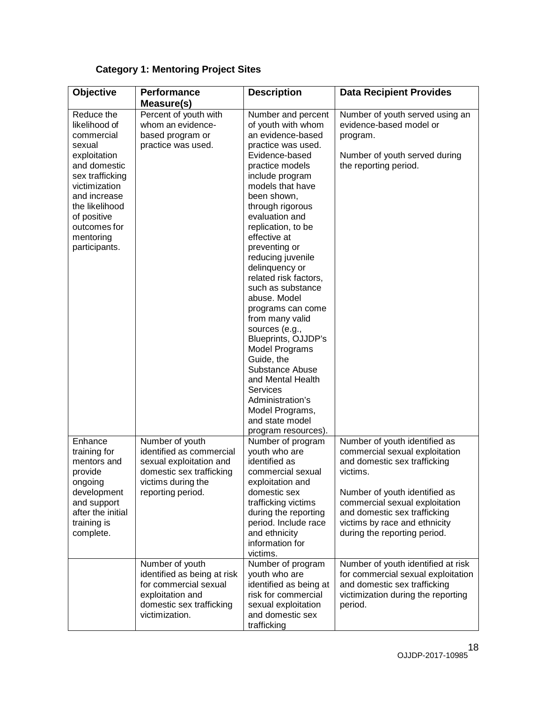#### Reduce the likelihood of commercial sexual exploitation and domestic sex trafficking victimization and increase the likelihood of positive outcomes for mentoring participants. Percent of youth with whom an evidencebased program or practice was used. Number and percent of youth with whom an evidence-based practice was used. Evidence-based practice models include program models that have been shown, through rigorous evaluation and replication, to be effective at preventing or reducing juvenile delinquency or related risk factors, such as substance abuse. Model programs can come from many valid sources (e.g., Blueprints, OJJDP's Model Programs Guide, the Substance Abuse and Mental Health **Services** Administration's Model Programs, and state model program resources). Number of youth served using an evidence-based model or program. Number of youth served during the reporting period. Enhance training for mentors and provide ongoing development and support after the initial training is complete. Number of youth identified as commercial sexual exploitation and domestic sex trafficking victims during the reporting period. Number of program youth who are identified as commercial sexual exploitation and domestic sex trafficking victims during the reporting period. Include race and ethnicity information for victims. Number of youth identified as commercial sexual exploitation and domestic sex trafficking victims. Number of youth identified as commercial sexual exploitation and domestic sex trafficking victims by race and ethnicity during the reporting period. Number of youth identified as being at risk Number of program youth who are Number of youth identified at risk for commercial sexual exploitation

identified as being at risk for commercial sexual exploitation and domestic sex

trafficking

**Description Data Recipient Provides**

#### **Category 1: Mentoring Project Sites**

for commercial sexual exploitation and domestic sex trafficking

victimization.

**Measure(s)**

**Objective Performance** 

and domestic sex trafficking victimization during the reporting

period.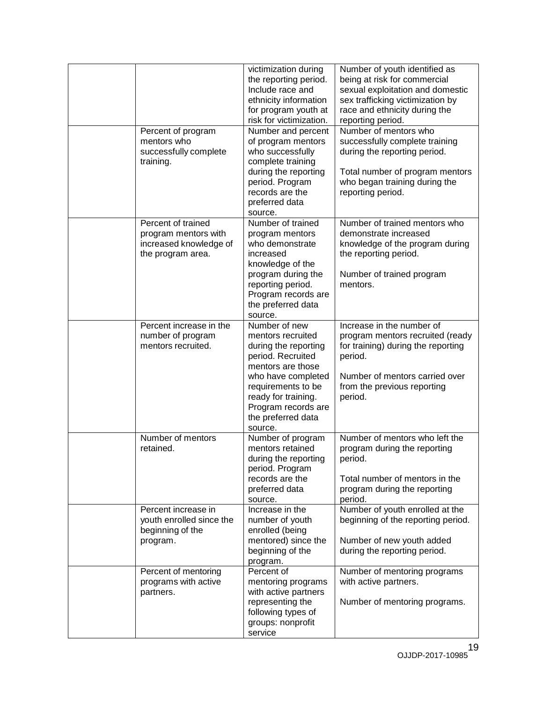|                                                                                           | victimization during<br>the reporting period.<br>Include race and<br>ethnicity information<br>for program youth at<br>risk for victimization.                                                                                   | Number of youth identified as<br>being at risk for commercial<br>sexual exploitation and domestic<br>sex trafficking victimization by<br>race and ethnicity during the<br>reporting period. |
|-------------------------------------------------------------------------------------------|---------------------------------------------------------------------------------------------------------------------------------------------------------------------------------------------------------------------------------|---------------------------------------------------------------------------------------------------------------------------------------------------------------------------------------------|
| Percent of program<br>mentors who<br>successfully complete<br>training.                   | Number and percent<br>of program mentors<br>who successfully<br>complete training<br>during the reporting<br>period. Program<br>records are the<br>preferred data<br>source.                                                    | Number of mentors who<br>successfully complete training<br>during the reporting period.<br>Total number of program mentors<br>who began training during the<br>reporting period.            |
| Percent of trained<br>program mentors with<br>increased knowledge of<br>the program area. | Number of trained<br>program mentors<br>who demonstrate<br>increased<br>knowledge of the<br>program during the<br>reporting period.<br>Program records are<br>the preferred data<br>source.                                     | Number of trained mentors who<br>demonstrate increased<br>knowledge of the program during<br>the reporting period.<br>Number of trained program<br>mentors.                                 |
| Percent increase in the<br>number of program<br>mentors recruited.                        | Number of new<br>mentors recruited<br>during the reporting<br>period. Recruited<br>mentors are those<br>who have completed<br>requirements to be<br>ready for training.<br>Program records are<br>the preferred data<br>source. | Increase in the number of<br>program mentors recruited (ready<br>for training) during the reporting<br>period.<br>Number of mentors carried over<br>from the previous reporting<br>period.  |
| Number of mentors<br>retained.                                                            | Number of program<br>mentors retained<br>during the reporting<br>period. Program<br>records are the<br>preferred data<br>source.                                                                                                | Number of mentors who left the<br>program during the reporting<br>period.<br>Total number of mentors in the<br>program during the reporting<br>period.                                      |
| Percent increase in<br>youth enrolled since the<br>beginning of the<br>program.           | Increase in the<br>number of youth<br>enrolled (being<br>mentored) since the<br>beginning of the<br>program.                                                                                                                    | Number of youth enrolled at the<br>beginning of the reporting period.<br>Number of new youth added<br>during the reporting period.                                                          |
| Percent of mentoring<br>programs with active<br>partners.                                 | Percent of<br>mentoring programs<br>with active partners<br>representing the<br>following types of<br>groups: nonprofit<br>service                                                                                              | Number of mentoring programs<br>with active partners.<br>Number of mentoring programs.                                                                                                      |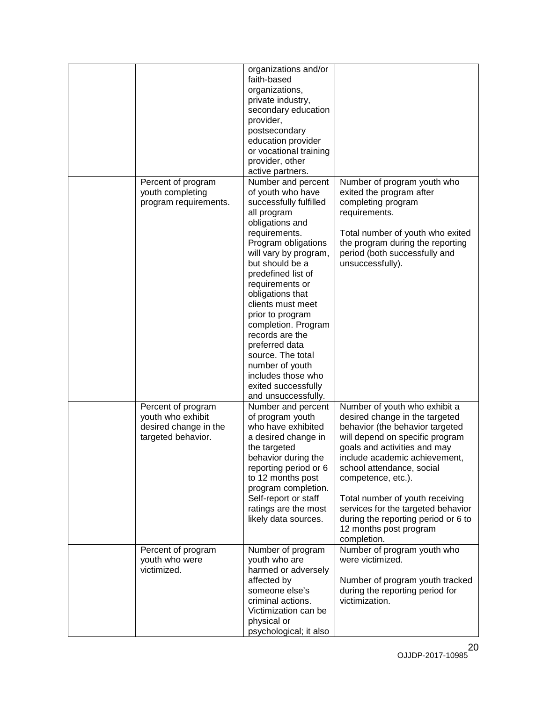|                                                                                        | organizations and/or<br>faith-based<br>organizations,<br>private industry,<br>secondary education<br>provider,<br>postsecondary<br>education provider<br>or vocational training<br>provider, other<br>active partners.                                                     |                                                                                                                                                                                                                                                                                                                                                                                                                    |
|----------------------------------------------------------------------------------------|----------------------------------------------------------------------------------------------------------------------------------------------------------------------------------------------------------------------------------------------------------------------------|--------------------------------------------------------------------------------------------------------------------------------------------------------------------------------------------------------------------------------------------------------------------------------------------------------------------------------------------------------------------------------------------------------------------|
| Percent of program<br>youth completing<br>program requirements.                        | Number and percent<br>of youth who have<br>successfully fulfilled<br>all program<br>obligations and<br>requirements.<br>Program obligations<br>will vary by program,<br>but should be a                                                                                    | Number of program youth who<br>exited the program after<br>completing program<br>requirements.<br>Total number of youth who exited<br>the program during the reporting<br>period (both successfully and<br>unsuccessfully).                                                                                                                                                                                        |
|                                                                                        | predefined list of<br>requirements or<br>obligations that<br>clients must meet<br>prior to program<br>completion. Program<br>records are the<br>preferred data<br>source. The total<br>number of youth<br>includes those who<br>exited successfully<br>and unsuccessfully. |                                                                                                                                                                                                                                                                                                                                                                                                                    |
| Percent of program<br>youth who exhibit<br>desired change in the<br>targeted behavior. | Number and percent<br>of program youth<br>who have exhibited<br>a desired change in<br>the targeted<br>behavior during the<br>reporting period or 6<br>to 12 months post<br>program completion.<br>Self-report or staff<br>ratings are the most<br>likely data sources.    | Number of youth who exhibit a<br>desired change in the targeted<br>behavior (the behavior targeted<br>will depend on specific program<br>goals and activities and may<br>include academic achievement,<br>school attendance, social<br>competence, etc.).<br>Total number of youth receiving<br>services for the targeted behavior<br>during the reporting period or 6 to<br>12 months post program<br>completion. |
| Percent of program<br>youth who were<br>victimized.                                    | Number of program<br>youth who are<br>harmed or adversely<br>affected by<br>someone else's<br>criminal actions.<br>Victimization can be<br>physical or<br>psychological; it also                                                                                           | Number of program youth who<br>were victimized.<br>Number of program youth tracked<br>during the reporting period for<br>victimization.                                                                                                                                                                                                                                                                            |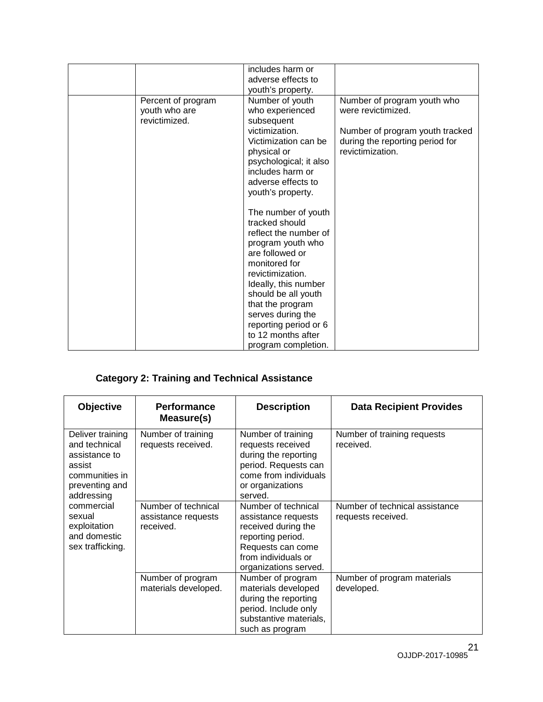|                                                      | includes harm or<br>adverse effects to<br>youth's property.                                                                                                                                                                                                                                               |                                                                                                                                             |
|------------------------------------------------------|-----------------------------------------------------------------------------------------------------------------------------------------------------------------------------------------------------------------------------------------------------------------------------------------------------------|---------------------------------------------------------------------------------------------------------------------------------------------|
| Percent of program<br>youth who are<br>revictimized. | Number of youth<br>who experienced<br>subsequent<br>victimization.<br>Victimization can be<br>physical or<br>psychological; it also<br>includes harm or<br>adverse effects to<br>youth's property.                                                                                                        | Number of program youth who<br>were revictimized.<br>Number of program youth tracked<br>during the reporting period for<br>revictimization. |
|                                                      | The number of youth<br>tracked should<br>reflect the number of<br>program youth who<br>are followed or<br>monitored for<br>revictimization.<br>Ideally, this number<br>should be all youth<br>that the program<br>serves during the<br>reporting period or 6<br>to 12 months after<br>program completion. |                                                                                                                                             |

### **Category 2: Training and Technical Assistance**

| <b>Objective</b>                                                                                               | <b>Performance</b><br>Measure(s)                        | <b>Description</b>                                                                                                                                          | <b>Data Recipient Provides</b>                       |
|----------------------------------------------------------------------------------------------------------------|---------------------------------------------------------|-------------------------------------------------------------------------------------------------------------------------------------------------------------|------------------------------------------------------|
| Deliver training<br>and technical<br>assistance to<br>assist<br>communities in<br>preventing and<br>addressing | Number of training<br>requests received.                | Number of training<br>requests received<br>during the reporting<br>period. Requests can<br>come from individuals<br>or organizations<br>served.             | Number of training requests<br>received.             |
| commercial<br>sexual<br>exploitation<br>and domestic<br>sex trafficking.                                       | Number of technical<br>assistance requests<br>received. | Number of technical<br>assistance requests<br>received during the<br>reporting period.<br>Requests can come<br>from individuals or<br>organizations served. | Number of technical assistance<br>requests received. |
|                                                                                                                | Number of program<br>materials developed.               | Number of program<br>materials developed<br>during the reporting<br>period. Include only<br>substantive materials,<br>such as program                       | Number of program materials<br>developed.            |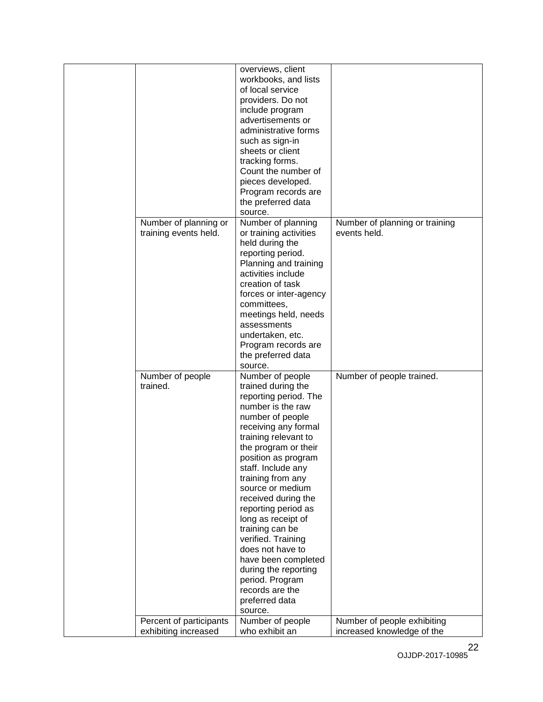|                                                | overviews, client<br>workbooks, and lists<br>of local service<br>providers. Do not<br>include program<br>advertisements or<br>administrative forms<br>such as sign-in<br>sheets or client<br>tracking forms.<br>Count the number of                                                                                                                                                                                                                                                                            |                                                |
|------------------------------------------------|----------------------------------------------------------------------------------------------------------------------------------------------------------------------------------------------------------------------------------------------------------------------------------------------------------------------------------------------------------------------------------------------------------------------------------------------------------------------------------------------------------------|------------------------------------------------|
|                                                | pieces developed.<br>Program records are<br>the preferred data                                                                                                                                                                                                                                                                                                                                                                                                                                                 |                                                |
|                                                | source.                                                                                                                                                                                                                                                                                                                                                                                                                                                                                                        |                                                |
| Number of planning or<br>training events held. | Number of planning<br>or training activities<br>held during the<br>reporting period.<br>Planning and training                                                                                                                                                                                                                                                                                                                                                                                                  | Number of planning or training<br>events held. |
|                                                | activities include<br>creation of task<br>forces or inter-agency<br>committees,                                                                                                                                                                                                                                                                                                                                                                                                                                |                                                |
|                                                | meetings held, needs<br>assessments<br>undertaken, etc.<br>Program records are<br>the preferred data                                                                                                                                                                                                                                                                                                                                                                                                           |                                                |
|                                                | source.                                                                                                                                                                                                                                                                                                                                                                                                                                                                                                        |                                                |
| Number of people<br>trained.                   | Number of people<br>trained during the<br>reporting period. The<br>number is the raw<br>number of people<br>receiving any formal<br>training relevant to<br>the program or their<br>position as program<br>staff. Include any<br>training from any<br>source or medium<br>received during the<br>reporting period as<br>long as receipt of<br>training can be<br>verified. Training<br>does not have to<br>have been completed<br>during the reporting<br>period. Program<br>records are the<br>preferred data | Number of people trained.                      |
| Percent of participants                        | source.<br>Number of people                                                                                                                                                                                                                                                                                                                                                                                                                                                                                    | Number of people exhibiting                    |
| exhibiting increased                           | who exhibit an                                                                                                                                                                                                                                                                                                                                                                                                                                                                                                 | increased knowledge of the                     |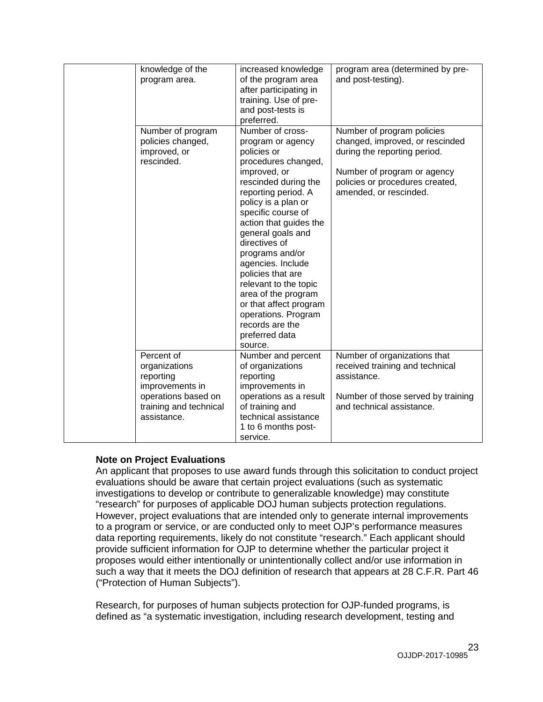| knowledge of the<br>program area.                                                                                           | increased knowledge<br>of the program area<br>after participating in<br>training. Use of pre-<br>and post-tests is<br>preferred.                                                                                                                                                                                                                                                                                                                                      | program area (determined by pre-<br>and post-testing).                                                                                                                                    |
|-----------------------------------------------------------------------------------------------------------------------------|-----------------------------------------------------------------------------------------------------------------------------------------------------------------------------------------------------------------------------------------------------------------------------------------------------------------------------------------------------------------------------------------------------------------------------------------------------------------------|-------------------------------------------------------------------------------------------------------------------------------------------------------------------------------------------|
| Number of program<br>policies changed,<br>improved, or<br>rescinded.                                                        | Number of cross-<br>program or agency<br>policies or<br>procedures changed,<br>improved, or<br>rescinded during the<br>reporting period. A<br>policy is a plan or<br>specific course of<br>action that guides the<br>general goals and<br>directives of<br>programs and/or<br>agencies. Include<br>policies that are<br>relevant to the topic<br>area of the program<br>or that affect program<br>operations. Program<br>records are the<br>preferred data<br>source. | Number of program policies<br>changed, improved, or rescinded<br>during the reporting period.<br>Number of program or agency<br>policies or procedures created,<br>amended, or rescinded. |
| Percent of<br>organizations<br>reporting<br>improvements in<br>operations based on<br>training and technical<br>assistance. | Number and percent<br>of organizations<br>reporting<br>improvements in<br>operations as a result<br>of training and<br>technical assistance<br>1 to 6 months post-<br>service.                                                                                                                                                                                                                                                                                        | Number of organizations that<br>received training and technical<br>assistance.<br>Number of those served by training<br>and technical assistance.                                         |

#### **Note on Project Evaluations**

An applicant that proposes to use award funds through this solicitation to conduct project evaluations should be aware that certain project evaluations (such as systematic investigations to develop or contribute to generalizable knowledge) may constitute "research" for purposes of applicable DOJ human subjects protection regulations. However, project evaluations that are intended only to generate internal improvements to a program or service, or are conducted only to meet OJP's performance measures data reporting requirements, likely do not constitute "research." Each applicant should provide sufficient information for OJP to determine whether the particular project it proposes would either intentionally or unintentionally collect and/or use information in such a way that it meets the DOJ definition of research that appears at 28 C.F.R. Part 46 ("Protection of Human Subjects").

Research, for purposes of human subjects protection for OJP-funded programs, is defined as "a systematic investigation, including research development, testing and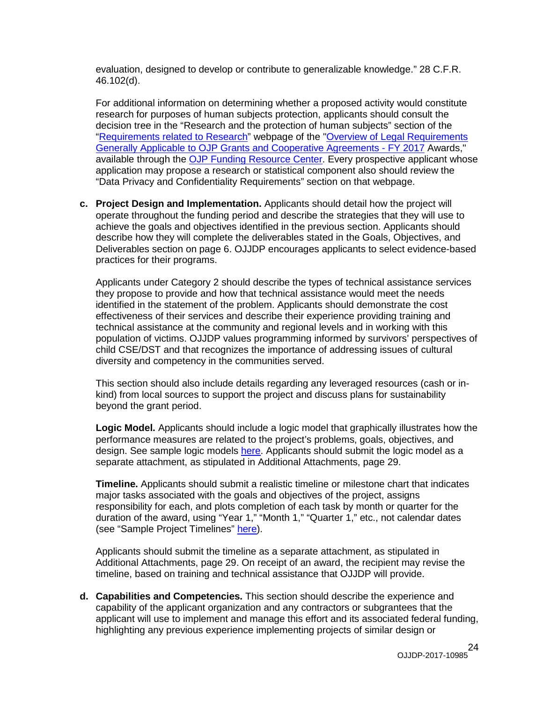evaluation, designed to develop or contribute to generalizable knowledge." 28 C.F.R. 46.102(d).

For additional information on determining whether a proposed activity would constitute research for purposes of human subjects protection, applicants should consult the decision tree in the "Research and the protection of human subjects" section of the ["Requirements related to Research"](http://ojp.gov/funding/Explore/SolicitationRequirements/EvidenceResearchEvaluationRequirements.htm) webpage of the ["Overview of Legal Requirements](http://ojp.gov/funding/Explore/SolicitationRequirements/index.htm)  [Generally Applicable to OJP Grants and Cooperative Agreements -](http://ojp.gov/funding/Explore/SolicitationRequirements/index.htm) FY 2017 Awards," available through the [OJP Funding Resource Center.](http://ojp.gov/funding/index.htm) Every prospective applicant whose application may propose a research or statistical component also should review the "Data Privacy and Confidentiality Requirements" section on that webpage.

**c. Project Design and Implementation.** Applicants should detail how the project will operate throughout the funding period and describe the strategies that they will use to achieve the goals and objectives identified in the previous section. Applicants should describe how they will complete the deliverables stated in the Goals, Objectives, and Deliverables section on page 6. OJJDP encourages applicants to select evidence-based practices for their programs.

Applicants under Category 2 should describe the types of technical assistance services they propose to provide and how that technical assistance would meet the needs identified in the statement of the problem. Applicants should demonstrate the cost effectiveness of their services and describe their experience providing training and technical assistance at the community and regional levels and in working with this population of victims. OJJDP values programming informed by survivors' perspectives of child CSE/DST and that recognizes the importance of addressing issues of cultural diversity and competency in the communities served.

This section should also include details regarding any leveraged resources (cash or inkind) from local sources to support the project and discuss plans for sustainability beyond the grant period.

**Logic Model.** Applicants should include a logic model that graphically illustrates how the performance measures are related to the project's problems, goals, objectives, and design. See sample logic models [here.](http://www.ojjdp.gov/grantees/pm/logic_models.html) Applicants should submit the logic model as a separate attachment, as stipulated in Additional Attachments, page 29.

**Timeline.** Applicants should submit a realistic timeline or milestone chart that indicates major tasks associated with the goals and objectives of the project, assigns responsibility for each, and plots completion of each task by month or quarter for the duration of the award, using "Year 1," "Month 1," "Quarter 1," etc., not calendar dates (see "Sample Project Timelines" [here\)](http://www.ojjdp.gov/grantees/timelines.html).

Applicants should submit the timeline as a separate attachment, as stipulated in Additional Attachments, page 29. On receipt of an award, the recipient may revise the timeline, based on training and technical assistance that OJJDP will provide.

**d. Capabilities and Competencies.** This section should describe the experience and capability of the applicant organization and any contractors or subgrantees that the applicant will use to implement and manage this effort and its associated federal funding, highlighting any previous experience implementing projects of similar design or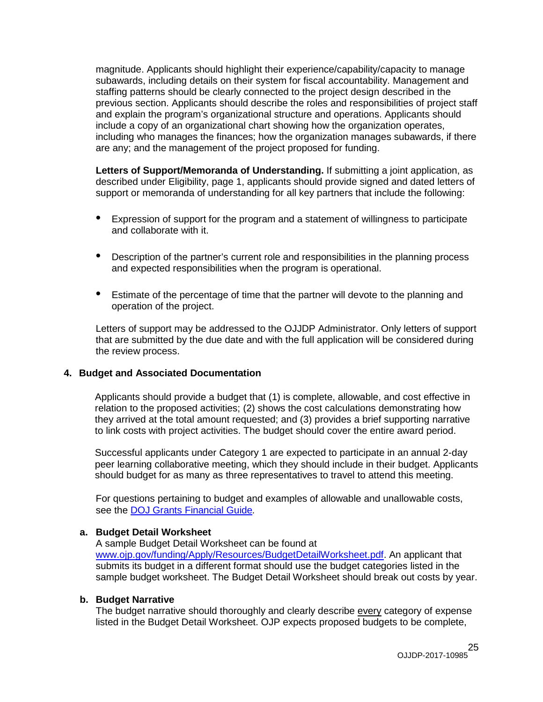magnitude. Applicants should highlight their experience/capability/capacity to manage subawards, including details on their system for fiscal accountability. Management and staffing patterns should be clearly connected to the project design described in the previous section. Applicants should describe the roles and responsibilities of project staff and explain the program's organizational structure and operations. Applicants should include a copy of an organizational chart showing how the organization operates, including who manages the finances; how the organization manages subawards, if there are any; and the management of the project proposed for funding.

**Letters of Support/Memoranda of Understanding.** If submitting a joint application, as described under Eligibility, page 1, applicants should provide signed and dated letters of support or memoranda of understanding for all key partners that include the following:

- Expression of support for the program and a statement of willingness to participate and collaborate with it.
- Description of the partner's current role and responsibilities in the planning process and expected responsibilities when the program is operational.
- Estimate of the percentage of time that the partner will devote to the planning and operation of the project.

Letters of support may be addressed to the OJJDP Administrator. Only letters of support that are submitted by the due date and with the full application will be considered during the review process.

#### **4. Budget and Associated Documentation**

Applicants should provide a budget that (1) is complete, allowable, and cost effective in relation to the proposed activities; (2) shows the cost calculations demonstrating how they arrived at the total amount requested; and (3) provides a brief supporting narrative to link costs with project activities. The budget should cover the entire award period.

Successful applicants under Category 1 are expected to participate in an annual 2-day peer learning collaborative meeting, which they should include in their budget. Applicants should budget for as many as three representatives to travel to attend this meeting.

For questions pertaining to budget and examples of allowable and unallowable costs, see the [DOJ Grants Financial Guide](http://ojp.gov/financialguide/DOJ/index.htm)*.*

#### **a. Budget Detail Worksheet**

A sample Budget Detail Worksheet can be found at [www.ojp.gov/funding/Apply/Resources/BudgetDetailWorksheet.pdf.](http://ojp.gov/funding/Apply/Resources/BudgetDetailWorksheet.pdf) An applicant that submits its budget in a different format should use the budget categories listed in the sample budget worksheet. The Budget Detail Worksheet should break out costs by year.

#### **b. Budget Narrative**

The budget narrative should thoroughly and clearly describe every category of expense listed in the Budget Detail Worksheet. OJP expects proposed budgets to be complete,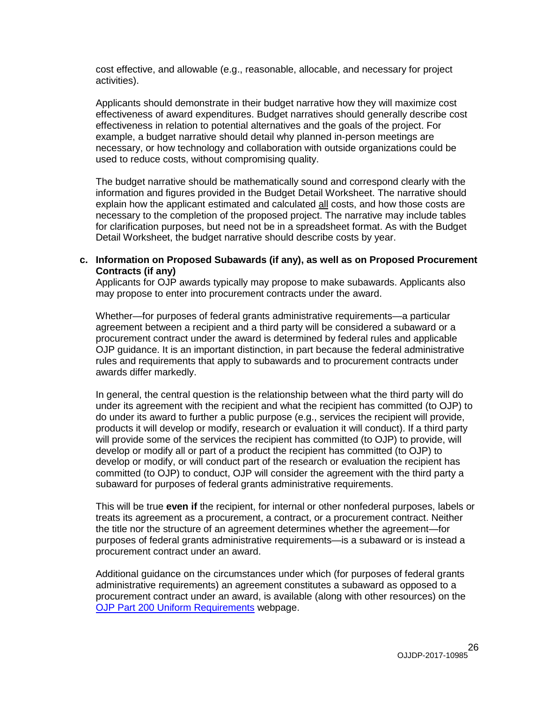cost effective, and allowable (e.g., reasonable, allocable, and necessary for project activities).

Applicants should demonstrate in their budget narrative how they will maximize cost effectiveness of award expenditures. Budget narratives should generally describe cost effectiveness in relation to potential alternatives and the goals of the project. For example, a budget narrative should detail why planned in-person meetings are necessary, or how technology and collaboration with outside organizations could be used to reduce costs, without compromising quality.

The budget narrative should be mathematically sound and correspond clearly with the information and figures provided in the Budget Detail Worksheet. The narrative should explain how the applicant estimated and calculated all costs, and how those costs are necessary to the completion of the proposed project. The narrative may include tables for clarification purposes, but need not be in a spreadsheet format. As with the Budget Detail Worksheet, the budget narrative should describe costs by year.

#### **c. Information on Proposed Subawards (if any), as well as on Proposed Procurement Contracts (if any)**

Applicants for OJP awards typically may propose to make subawards. Applicants also may propose to enter into procurement contracts under the award.

Whether—for purposes of federal grants administrative requirements—a particular agreement between a recipient and a third party will be considered a subaward or a procurement contract under the award is determined by federal rules and applicable OJP guidance. It is an important distinction, in part because the federal administrative rules and requirements that apply to subawards and to procurement contracts under awards differ markedly.

In general, the central question is the relationship between what the third party will do under its agreement with the recipient and what the recipient has committed (to OJP) to do under its award to further a public purpose (e.g., services the recipient will provide, products it will develop or modify, research or evaluation it will conduct). If a third party will provide some of the services the recipient has committed (to OJP) to provide, will develop or modify all or part of a product the recipient has committed (to OJP) to develop or modify, or will conduct part of the research or evaluation the recipient has committed (to OJP) to conduct, OJP will consider the agreement with the third party a subaward for purposes of federal grants administrative requirements.

This will be true **even if** the recipient, for internal or other nonfederal purposes, labels or treats its agreement as a procurement, a contract, or a procurement contract. Neither the title nor the structure of an agreement determines whether the agreement—for purposes of federal grants administrative requirements—is a subaward or is instead a procurement contract under an award.

Additional guidance on the circumstances under which (for purposes of federal grants administrative requirements) an agreement constitutes a subaward as opposed to a procurement contract under an award, is available (along with other resources) on the [OJP Part 200 Uniform Requirements](http://ojp.gov/funding/Part200UniformRequirements.htm) webpage.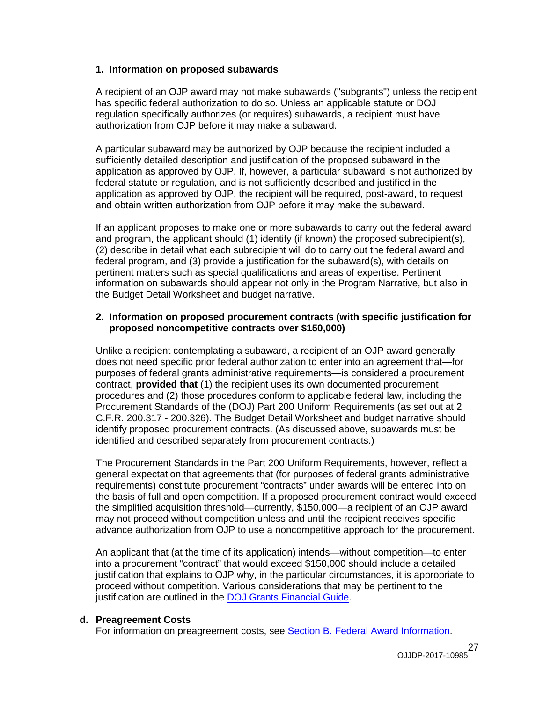#### **1. Information on proposed subawards**

A recipient of an OJP award may not make subawards ("subgrants") unless the recipient has specific federal authorization to do so. Unless an applicable statute or DOJ regulation specifically authorizes (or requires) subawards, a recipient must have authorization from OJP before it may make a subaward.

A particular subaward may be authorized by OJP because the recipient included a sufficiently detailed description and justification of the proposed subaward in the application as approved by OJP. If, however, a particular subaward is not authorized by federal statute or regulation, and is not sufficiently described and justified in the application as approved by OJP, the recipient will be required, post-award, to request and obtain written authorization from OJP before it may make the subaward.

If an applicant proposes to make one or more subawards to carry out the federal award and program, the applicant should (1) identify (if known) the proposed subrecipient(s), (2) describe in detail what each subrecipient will do to carry out the federal award and federal program, and (3) provide a justification for the subaward(s), with details on pertinent matters such as special qualifications and areas of expertise. Pertinent information on subawards should appear not only in the Program Narrative, but also in the Budget Detail Worksheet and budget narrative.

#### **2. Information on proposed procurement contracts (with specific justification for proposed noncompetitive contracts over \$150,000)**

Unlike a recipient contemplating a subaward, a recipient of an OJP award generally does not need specific prior federal authorization to enter into an agreement that—for purposes of federal grants administrative requirements—is considered a procurement contract, **provided that** (1) the recipient uses its own documented procurement procedures and (2) those procedures conform to applicable federal law, including the Procurement Standards of the (DOJ) Part 200 Uniform Requirements (as set out at 2 C.F.R. 200.317 - 200.326). The Budget Detail Worksheet and budget narrative should identify proposed procurement contracts. (As discussed above, subawards must be identified and described separately from procurement contracts.)

The Procurement Standards in the Part 200 Uniform Requirements, however, reflect a general expectation that agreements that (for purposes of federal grants administrative requirements) constitute procurement "contracts" under awards will be entered into on the basis of full and open competition. If a proposed procurement contract would exceed the simplified acquisition threshold—currently, \$150,000—a recipient of an OJP award may not proceed without competition unless and until the recipient receives specific advance authorization from OJP to use a noncompetitive approach for the procurement.

An applicant that (at the time of its application) intends—without competition—to enter into a procurement "contract" that would exceed \$150,000 should include a detailed justification that explains to OJP why, in the particular circumstances, it is appropriate to proceed without competition. Various considerations that may be pertinent to the justification are outlined in the [DOJ Grants Financial Guide.](http://ojp.gov/financialguide/DOJ/index.htm)

#### **d. Preagreement Costs**

For information on preagreement costs, see [Section B. Federal Award Information.](#page-9-0)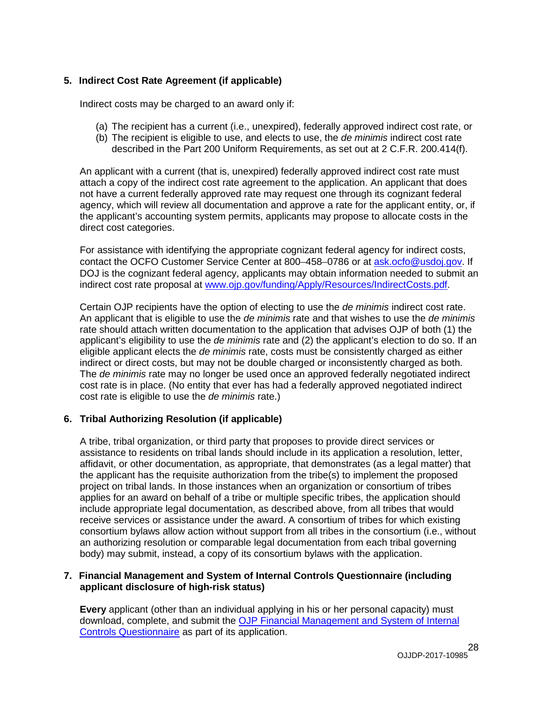#### **5. Indirect Cost Rate Agreement (if applicable)**

Indirect costs may be charged to an award only if:

- (a) The recipient has a current (i.e., unexpired), federally approved indirect cost rate, or
- (b) The recipient is eligible to use, and elects to use, the *de minimis* indirect cost rate described in the Part 200 Uniform Requirements, as set out at 2 C.F.R. 200.414(f).

An applicant with a current (that is, unexpired) federally approved indirect cost rate must attach a copy of the indirect cost rate agreement to the application. An applicant that does not have a current federally approved rate may request one through its cognizant federal agency, which will review all documentation and approve a rate for the applicant entity, or, if the applicant's accounting system permits, applicants may propose to allocate costs in the direct cost categories.

For assistance with identifying the appropriate cognizant federal agency for indirect costs, contact the OCFO Customer Service Center at 800–458–0786 or at [ask.ocfo@usdoj.gov.](mailto:ask.ocfo@usdoj.gov) If DOJ is the cognizant federal agency, applicants may obtain information needed to submit an indirect cost rate proposal at [www.ojp.gov/funding/Apply/Resources/IndirectCosts.pdf.](http://www.ojp.gov/funding/Apply/Resources/IndirectCosts.pdf)

Certain OJP recipients have the option of electing to use the *de minimis* indirect cost rate. An applicant that is eligible to use the *de minimis* rate and that wishes to use the *de minimis* rate should attach written documentation to the application that advises OJP of both (1) the applicant's eligibility to use the *de minimis* rate and (2) the applicant's election to do so. If an eligible applicant elects the *de minimis* rate, costs must be consistently charged as either indirect or direct costs, but may not be double charged or inconsistently charged as both. The *de minimis* rate may no longer be used once an approved federally negotiated indirect cost rate is in place. (No entity that ever has had a federally approved negotiated indirect cost rate is eligible to use the *de minimis* rate.)

#### **6. Tribal Authorizing Resolution (if applicable)**

A tribe, tribal organization, or third party that proposes to provide direct services or assistance to residents on tribal lands should include in its application a resolution, letter, affidavit, or other documentation, as appropriate, that demonstrates (as a legal matter) that the applicant has the requisite authorization from the tribe(s) to implement the proposed project on tribal lands. In those instances when an organization or consortium of tribes applies for an award on behalf of a tribe or multiple specific tribes, the application should include appropriate legal documentation, as described above, from all tribes that would receive services or assistance under the award. A consortium of tribes for which existing consortium bylaws allow action without support from all tribes in the consortium (i.e., without an authorizing resolution or comparable legal documentation from each tribal governing body) may submit, instead, a copy of its consortium bylaws with the application.

#### **7. Financial Management and System of Internal Controls Questionnaire (including applicant disclosure of high-risk status)**

**Every** applicant (other than an individual applying in his or her personal capacity) must download, complete, and submit the [OJP Financial Management and System of Internal](http://ojp.gov/funding/Apply/Resources/FinancialCapability.pdf)  [Controls Questionnaire](http://ojp.gov/funding/Apply/Resources/FinancialCapability.pdf) as part of its application.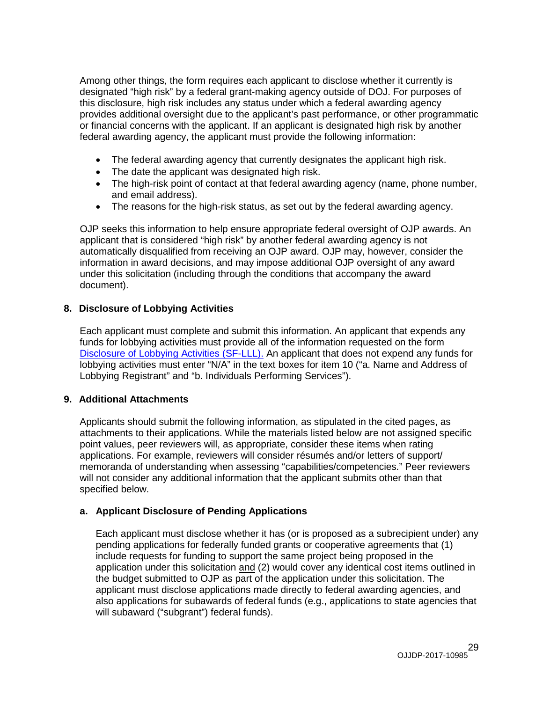Among other things, the form requires each applicant to disclose whether it currently is designated "high risk" by a federal grant-making agency outside of DOJ. For purposes of this disclosure, high risk includes any status under which a federal awarding agency provides additional oversight due to the applicant's past performance, or other programmatic or financial concerns with the applicant. If an applicant is designated high risk by another federal awarding agency, the applicant must provide the following information:

- The federal awarding agency that currently designates the applicant high risk.
- The date the applicant was designated high risk.
- The high-risk point of contact at that federal awarding agency (name, phone number, and email address).
- The reasons for the high-risk status, as set out by the federal awarding agency.

OJP seeks this information to help ensure appropriate federal oversight of OJP awards. An applicant that is considered "high risk" by another federal awarding agency is not automatically disqualified from receiving an OJP award. OJP may, however, consider the information in award decisions, and may impose additional OJP oversight of any award under this solicitation (including through the conditions that accompany the award document).

#### **8. Disclosure of Lobbying Activities**

Each applicant must complete and submit this information. An applicant that expends any funds for lobbying activities must provide all of the information requested on the form [Disclosure of Lobbying Activities \(SF-LLL\).](http://ojp.gov/funding/Apply/Resources/Disclosure.pdf) An applicant that does not expend any funds for lobbying activities must enter "N/A" in the text boxes for item 10 ("a. Name and Address of Lobbying Registrant" and "b. Individuals Performing Services").

### **9. Additional Attachments**

Applicants should submit the following information, as stipulated in the cited pages, as attachments to their applications. While the materials listed below are not assigned specific point values, peer reviewers will, as appropriate, consider these items when rating applications. For example, reviewers will consider résumés and/or letters of support/ memoranda of understanding when assessing "capabilities/competencies." Peer reviewers will not consider any additional information that the applicant submits other than that specified below.

### **a. Applicant Disclosure of Pending Applications**

Each applicant must disclose whether it has (or is proposed as a subrecipient under) any pending applications for federally funded grants or cooperative agreements that (1) include requests for funding to support the same project being proposed in the application under this solicitation and (2) would cover any identical cost items outlined in the budget submitted to OJP as part of the application under this solicitation. The applicant must disclose applications made directly to federal awarding agencies, and also applications for subawards of federal funds (e.g., applications to state agencies that will subaward ("subgrant") federal funds).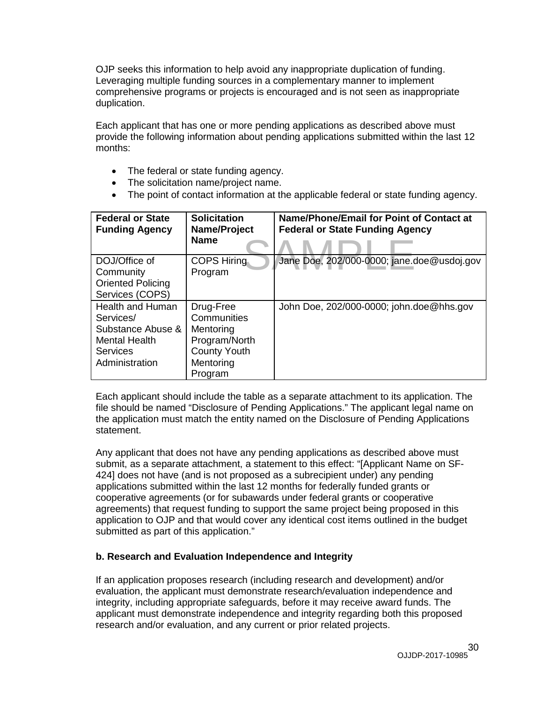OJP seeks this information to help avoid any inappropriate duplication of funding. Leveraging multiple funding sources in a complementary manner to implement comprehensive programs or projects is encouraged and is not seen as inappropriate duplication.

Each applicant that has one or more pending applications as described above must provide the following information about pending applications submitted within the last 12 months:

- The federal or state funding agency.
- The solicitation name/project name.
- The point of contact information at the applicable federal or state funding agency.

| <b>Federal or State</b><br><b>Funding Agency</b> | <b>Solicitation</b><br>Name/Project<br><b>Name</b> | Name/Phone/Email for Point of Contact at<br><b>Federal or State Funding Agency</b> |
|--------------------------------------------------|----------------------------------------------------|------------------------------------------------------------------------------------|
| DOJ/Office of                                    | <b>COPS Hiring</b>                                 | Jane Doe, 202/000-0000; jane.doe@usdoj.gov                                         |
| Community                                        | Program                                            |                                                                                    |
| <b>Oriented Policing</b>                         |                                                    |                                                                                    |
| Services (COPS)                                  |                                                    |                                                                                    |
| <b>Health and Human</b>                          | Drug-Free                                          | John Doe, 202/000-0000; john.doe@hhs.gov                                           |
| Services/                                        | Communities                                        |                                                                                    |
| Substance Abuse &                                | Mentoring                                          |                                                                                    |
| <b>Mental Health</b>                             | Program/North                                      |                                                                                    |
| <b>Services</b>                                  | <b>County Youth</b>                                |                                                                                    |
| Administration                                   | Mentoring                                          |                                                                                    |
|                                                  | Program                                            |                                                                                    |

Each applicant should include the table as a separate attachment to its application. The file should be named "Disclosure of Pending Applications." The applicant legal name on the application must match the entity named on the Disclosure of Pending Applications statement.

Any applicant that does not have any pending applications as described above must submit, as a separate attachment, a statement to this effect: "[Applicant Name on SF-424] does not have (and is not proposed as a subrecipient under) any pending applications submitted within the last 12 months for federally funded grants or cooperative agreements (or for subawards under federal grants or cooperative agreements) that request funding to support the same project being proposed in this application to OJP and that would cover any identical cost items outlined in the budget submitted as part of this application."

#### **b. Research and Evaluation Independence and Integrity**

If an application proposes research (including research and development) and/or evaluation, the applicant must demonstrate research/evaluation independence and integrity, including appropriate safeguards, before it may receive award funds. The applicant must demonstrate independence and integrity regarding both this proposed research and/or evaluation, and any current or prior related projects.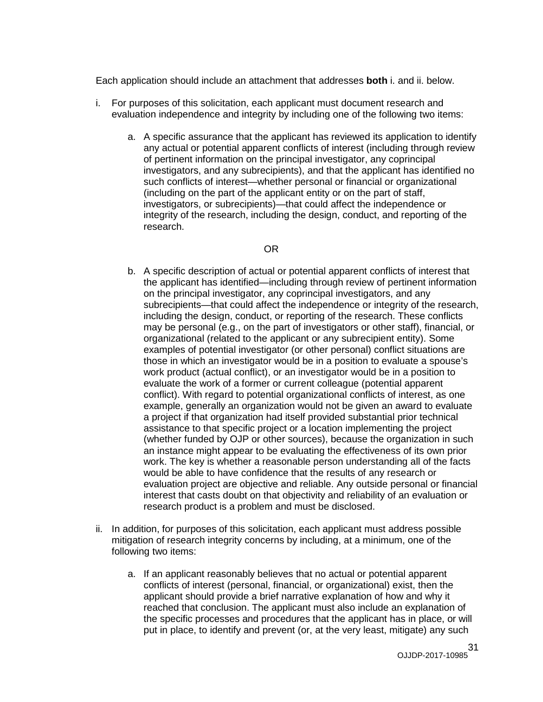Each application should include an attachment that addresses **both** i. and ii. below.

- i. For purposes of this solicitation, each applicant must document research and evaluation independence and integrity by including one of the following two items:
	- a. A specific assurance that the applicant has reviewed its application to identify any actual or potential apparent conflicts of interest (including through review of pertinent information on the principal investigator, any coprincipal investigators, and any subrecipients), and that the applicant has identified no such conflicts of interest—whether personal or financial or organizational (including on the part of the applicant entity or on the part of staff, investigators, or subrecipients)—that could affect the independence or integrity of the research, including the design, conduct, and reporting of the research.

#### OR

- b. A specific description of actual or potential apparent conflicts of interest that the applicant has identified—including through review of pertinent information on the principal investigator, any coprincipal investigators, and any subrecipients—that could affect the independence or integrity of the research, including the design, conduct, or reporting of the research. These conflicts may be personal (e.g., on the part of investigators or other staff), financial, or organizational (related to the applicant or any subrecipient entity). Some examples of potential investigator (or other personal) conflict situations are those in which an investigator would be in a position to evaluate a spouse's work product (actual conflict), or an investigator would be in a position to evaluate the work of a former or current colleague (potential apparent conflict). With regard to potential organizational conflicts of interest, as one example, generally an organization would not be given an award to evaluate a project if that organization had itself provided substantial prior technical assistance to that specific project or a location implementing the project (whether funded by OJP or other sources), because the organization in such an instance might appear to be evaluating the effectiveness of its own prior work. The key is whether a reasonable person understanding all of the facts would be able to have confidence that the results of any research or evaluation project are objective and reliable. Any outside personal or financial interest that casts doubt on that objectivity and reliability of an evaluation or research product is a problem and must be disclosed.
- ii. In addition, for purposes of this solicitation, each applicant must address possible mitigation of research integrity concerns by including, at a minimum, one of the following two items:
	- a. If an applicant reasonably believes that no actual or potential apparent conflicts of interest (personal, financial, or organizational) exist, then the applicant should provide a brief narrative explanation of how and why it reached that conclusion. The applicant must also include an explanation of the specific processes and procedures that the applicant has in place, or will put in place, to identify and prevent (or, at the very least, mitigate) any such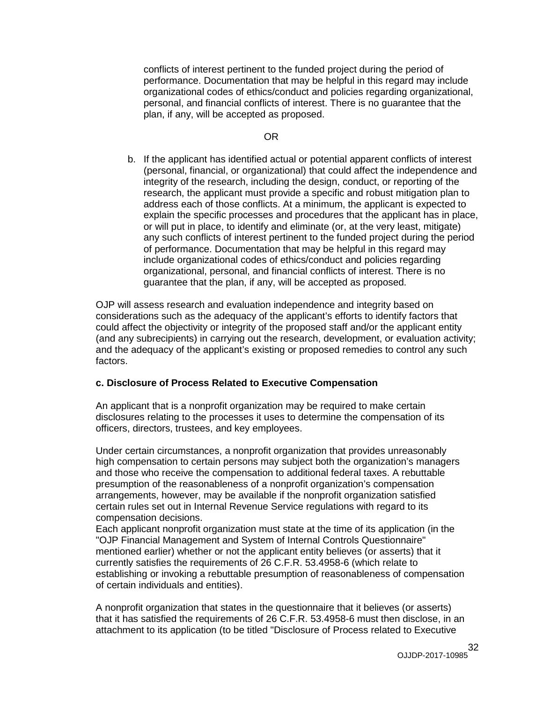conflicts of interest pertinent to the funded project during the period of performance. Documentation that may be helpful in this regard may include organizational codes of ethics/conduct and policies regarding organizational, personal, and financial conflicts of interest. There is no guarantee that the plan, if any, will be accepted as proposed.

#### OR

b. If the applicant has identified actual or potential apparent conflicts of interest (personal, financial, or organizational) that could affect the independence and integrity of the research, including the design, conduct, or reporting of the research, the applicant must provide a specific and robust mitigation plan to address each of those conflicts. At a minimum, the applicant is expected to explain the specific processes and procedures that the applicant has in place, or will put in place, to identify and eliminate (or, at the very least, mitigate) any such conflicts of interest pertinent to the funded project during the period of performance. Documentation that may be helpful in this regard may include organizational codes of ethics/conduct and policies regarding organizational, personal, and financial conflicts of interest. There is no guarantee that the plan, if any, will be accepted as proposed.

OJP will assess research and evaluation independence and integrity based on considerations such as the adequacy of the applicant's efforts to identify factors that could affect the objectivity or integrity of the proposed staff and/or the applicant entity (and any subrecipients) in carrying out the research, development, or evaluation activity; and the adequacy of the applicant's existing or proposed remedies to control any such factors.

#### **c. Disclosure of Process Related to Executive Compensation**

An applicant that is a nonprofit organization may be required to make certain disclosures relating to the processes it uses to determine the compensation of its officers, directors, trustees, and key employees.

Under certain circumstances, a nonprofit organization that provides unreasonably high compensation to certain persons may subject both the organization's managers and those who receive the compensation to additional federal taxes. A rebuttable presumption of the reasonableness of a nonprofit organization's compensation arrangements, however, may be available if the nonprofit organization satisfied certain rules set out in Internal Revenue Service regulations with regard to its compensation decisions.

Each applicant nonprofit organization must state at the time of its application (in the "OJP Financial Management and System of Internal Controls Questionnaire" mentioned earlier) whether or not the applicant entity believes (or asserts) that it currently satisfies the requirements of 26 C.F.R. 53.4958-6 (which relate to establishing or invoking a rebuttable presumption of reasonableness of compensation of certain individuals and entities).

A nonprofit organization that states in the questionnaire that it believes (or asserts) that it has satisfied the requirements of 26 C.F.R. 53.4958-6 must then disclose, in an attachment to its application (to be titled "Disclosure of Process related to Executive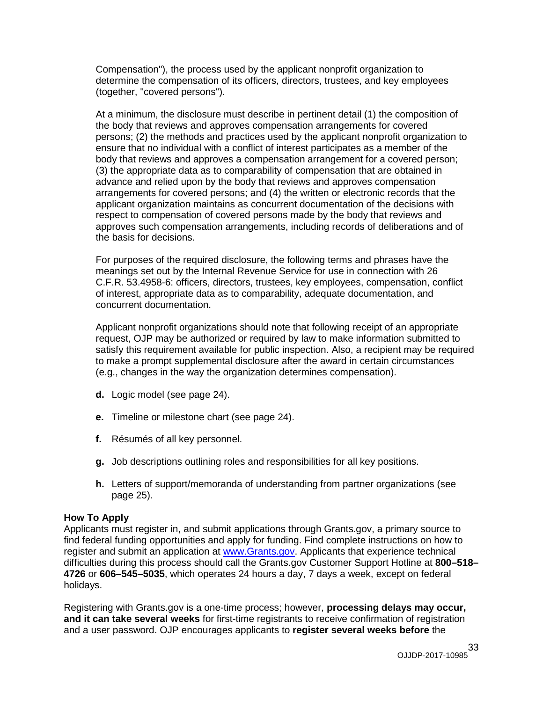Compensation"), the process used by the applicant nonprofit organization to determine the compensation of its officers, directors, trustees, and key employees (together, "covered persons").

At a minimum, the disclosure must describe in pertinent detail (1) the composition of the body that reviews and approves compensation arrangements for covered persons; (2) the methods and practices used by the applicant nonprofit organization to ensure that no individual with a conflict of interest participates as a member of the body that reviews and approves a compensation arrangement for a covered person; (3) the appropriate data as to comparability of compensation that are obtained in advance and relied upon by the body that reviews and approves compensation arrangements for covered persons; and (4) the written or electronic records that the applicant organization maintains as concurrent documentation of the decisions with respect to compensation of covered persons made by the body that reviews and approves such compensation arrangements, including records of deliberations and of the basis for decisions.

For purposes of the required disclosure, the following terms and phrases have the meanings set out by the Internal Revenue Service for use in connection with 26 C.F.R. 53.4958-6: officers, directors, trustees, key employees, compensation, conflict of interest, appropriate data as to comparability, adequate documentation, and concurrent documentation.

Applicant nonprofit organizations should note that following receipt of an appropriate request, OJP may be authorized or required by law to make information submitted to satisfy this requirement available for public inspection. Also, a recipient may be required to make a prompt supplemental disclosure after the award in certain circumstances (e.g., changes in the way the organization determines compensation).

- **d.** Logic model (see page 24).
- **e.** Timeline or milestone chart (see page 24).
- **f.** Résumés of all key personnel.
- **g.** Job descriptions outlining roles and responsibilities for all key positions.
- **h.** Letters of support/memoranda of understanding from partner organizations (see page 25).

#### <span id="page-32-0"></span>**How To Apply**

Applicants must register in, and submit applications through Grants.gov, a primary source to find federal funding opportunities and apply for funding. Find complete instructions on how to register and submit an application at [www.Grants.gov.](http://www.grants.gov/) Applicants that experience technical difficulties during this process should call the Grants.gov Customer Support Hotline at **800–518– 4726** or **606–545–5035**, which operates 24 hours a day, 7 days a week, except on federal holidays.

Registering with Grants.gov is a one-time process; however, **processing delays may occur, and it can take several weeks** for first-time registrants to receive confirmation of registration and a user password. OJP encourages applicants to **register several weeks before** the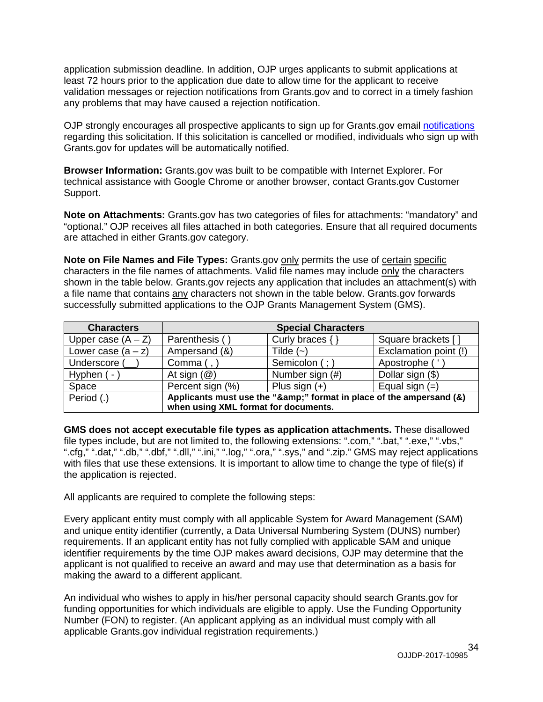application submission deadline. In addition, OJP urges applicants to submit applications at least 72 hours prior to the application due date to allow time for the applicant to receive validation messages or rejection notifications from Grants.gov and to correct in a timely fashion any problems that may have caused a rejection notification.

OJP strongly encourages all prospective applicants to sign up for Grants.gov email [notifications](http://www.grants.gov/web/grants/manage-subscriptions.html) regarding this solicitation. If this solicitation is cancelled or modified, individuals who sign up with Grants.gov for updates will be automatically notified.

**Browser Information:** Grants.gov was built to be compatible with Internet Explorer. For technical assistance with Google Chrome or another browser, contact Grants.gov Customer Support.

**Note on Attachments:** Grants.gov has two categories of files for attachments: "mandatory" and "optional." OJP receives all files attached in both categories. Ensure that all required documents are attached in either Grants.gov category.

**Note on File Names and File Types:** Grants.gov only permits the use of certain specific characters in the file names of attachments. Valid file names may include only the characters shown in the table below. Grants.gov rejects any application that includes an attachment(s) with a file name that contains any characters not shown in the table below. Grants.gov forwards successfully submitted applications to the OJP Grants Management System (GMS).

| <b>Characters</b>    |                                                                  | <b>Special Characters</b> |                       |
|----------------------|------------------------------------------------------------------|---------------------------|-----------------------|
| Upper case $(A - Z)$ | Parenthesis ()                                                   | Curly braces $\{\}$       | Square brackets []    |
| Lower case $(a - z)$ | Ampersand (&)                                                    | Tilde $(-)$               | Exclamation point (!) |
| Underscore (         | Comma $($ , $)$                                                  | Semicolon (; )            | Apostrophe (          |
| Hyphen (-            | At sign $(\mathcal{Q})$                                          | Number sign (#)           | Dollar sign (\$)      |
| Space                | Percent sign (%)                                                 | Plus sign $(+)$           | Equal sign $(=)$      |
| Period (.)           | Applicants must use the "&" format in place of the ampersand (&) |                           |                       |
|                      | when using XML format for documents.                             |                           |                       |

**GMS does not accept executable file types as application attachments.** These disallowed file types include, but are not limited to, the following extensions: ".com," ".bat," ".exe," ".vbs," ".cfg," ".dat," ".db," ".dbf," ".dll," ".ini," ".log," ".ora," ".sys," and ".zip." GMS may reject applications with files that use these extensions. It is important to allow time to change the type of file(s) if the application is rejected.

All applicants are required to complete the following steps:

Every applicant entity must comply with all applicable System for Award Management (SAM) and unique entity identifier (currently, a Data Universal Numbering System (DUNS) number) requirements. If an applicant entity has not fully complied with applicable SAM and unique identifier requirements by the time OJP makes award decisions, OJP may determine that the applicant is not qualified to receive an award and may use that determination as a basis for making the award to a different applicant.

An individual who wishes to apply in his/her personal capacity should search Grants.gov for funding opportunities for which individuals are eligible to apply. Use the Funding Opportunity Number (FON) to register. (An applicant applying as an individual must comply with all applicable Grants.gov individual registration requirements.)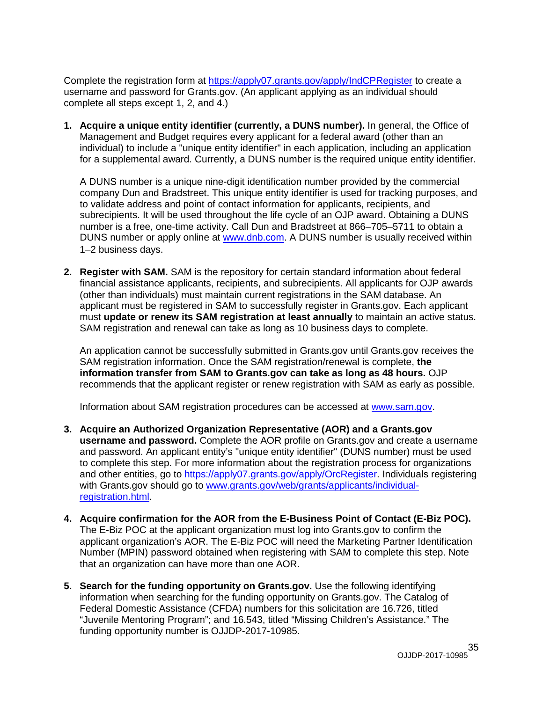Complete the registration form at<https://apply07.grants.gov/apply/IndCPRegister> to create a username and password for Grants.gov. (An applicant applying as an individual should complete all steps except 1, 2, and 4.)

**1. Acquire a unique entity identifier (currently, a DUNS number).** In general, the Office of Management and Budget requires every applicant for a federal award (other than an individual) to include a "unique entity identifier" in each application, including an application for a supplemental award. Currently, a DUNS number is the required unique entity identifier.

A DUNS number is a unique nine-digit identification number provided by the commercial company Dun and Bradstreet. This unique entity identifier is used for tracking purposes, and to validate address and point of contact information for applicants, recipients, and subrecipients. It will be used throughout the life cycle of an OJP award. Obtaining a DUNS number is a free, one-time activity. Call Dun and Bradstreet at 866–705–5711 to obtain a DUNS number or apply online at [www.dnb.com.](http://www.dnb.com/) A DUNS number is usually received within 1–2 business days.

**2. Register with SAM.** SAM is the repository for certain standard information about federal financial assistance applicants, recipients, and subrecipients. All applicants for OJP awards (other than individuals) must maintain current registrations in the SAM database. An applicant must be registered in SAM to successfully register in Grants.gov. Each applicant must **update or renew its SAM registration at least annually** to maintain an active status. SAM registration and renewal can take as long as 10 business days to complete.

An application cannot be successfully submitted in Grants.gov until Grants.gov receives the SAM registration information. Once the SAM registration/renewal is complete, **the information transfer from SAM to Grants.gov can take as long as 48 hours.** OJP recommends that the applicant register or renew registration with SAM as early as possible.

Information about SAM registration procedures can be accessed at [www.sam.gov.](https://www.sam.gov/portal/SAM/#1)

- **3. Acquire an Authorized Organization Representative (AOR) and a Grants.gov username and password.** Complete the AOR profile on Grants.gov and create a username and password. An applicant entity's "unique entity identifier" (DUNS number) must be used to complete this step. For more information about the registration process for organizations and other entities, go to [https://apply07.grants.gov/apply/OrcRegister.](https://apply07.grants.gov/apply/OrcRegister) Individuals registering with Grants.gov should go to [www.grants.gov/web/grants/applicants/individual](http://www.grants.gov/web/grants/applicants/individual-registration.html)[registration.html.](http://www.grants.gov/web/grants/applicants/individual-registration.html)
- **4. Acquire confirmation for the AOR from the E-Business Point of Contact (E-Biz POC).**  The E-Biz POC at the applicant organization must log into Grants.gov to confirm the applicant organization's AOR. The E-Biz POC will need the Marketing Partner Identification Number (MPIN) password obtained when registering with SAM to complete this step. Note that an organization can have more than one AOR.
- **5. Search for the funding opportunity on Grants.gov.** Use the following identifying information when searching for the funding opportunity on Grants.gov. The Catalog of Federal Domestic Assistance (CFDA) numbers for this solicitation are 16.726, titled "Juvenile Mentoring Program"; and 16.543, titled "Missing Children's Assistance." The funding opportunity number is OJJDP-2017-10985.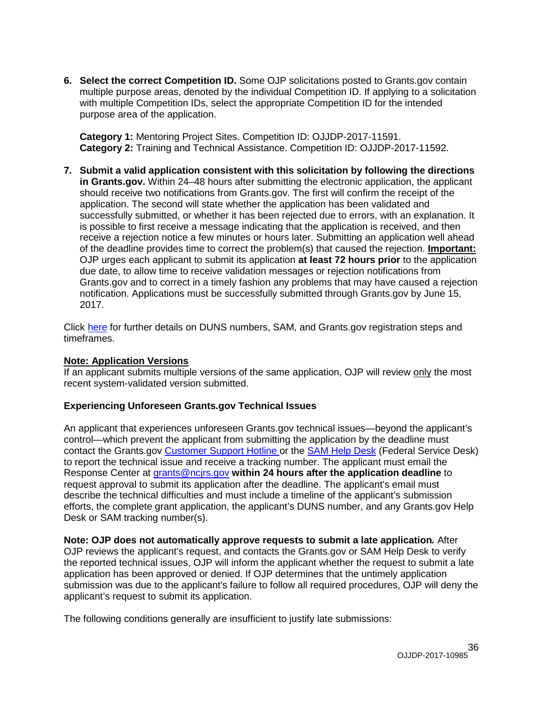**6. Select the correct Competition ID.** Some OJP solicitations posted to Grants.gov contain multiple purpose areas, denoted by the individual Competition ID. If applying to a solicitation with multiple Competition IDs, select the appropriate Competition ID for the intended purpose area of the application.

**Category 1:** Mentoring Project Sites. Competition ID: OJJDP-2017-11591. **Category 2:** Training and Technical Assistance. Competition ID: OJJDP-2017-11592.

**7. Submit a valid application consistent with this solicitation by following the directions in Grants.gov.** Within 24–48 hours after submitting the electronic application, the applicant should receive two notifications from Grants.gov. The first will confirm the receipt of the application. The second will state whether the application has been validated and successfully submitted, or whether it has been rejected due to errors, with an explanation. It is possible to first receive a message indicating that the application is received, and then receive a rejection notice a few minutes or hours later. Submitting an application well ahead of the deadline provides time to correct the problem(s) that caused the rejection. **Important:** OJP urges each applicant to submit its application **at least 72 hours prior** to the application due date, to allow time to receive validation messages or rejection notifications from Grants.gov and to correct in a timely fashion any problems that may have caused a rejection notification. Applications must be successfully submitted through Grants.gov by June 15, 2017.

Click [here](http://www.grants.gov/web/grants/applicants/organization-registration.html) for further details on DUNS numbers, SAM, and Grants.gov registration steps and timeframes.

#### **Note: Application Versions**

If an applicant submits multiple versions of the same application, OJP will review only the most recent system-validated version submitted.

#### **Experiencing Unforeseen Grants.gov Technical Issues**

An applicant that experiences unforeseen Grants.gov technical issues—beyond the applicant's control—which prevent the applicant from submitting the application by the deadline must contact the Grants.gov [Customer Support Hotline](http://www.grants.gov/web/grants/support.html) or the [SAM Help Desk](https://www.fsd.gov/fsd-gov/home.do) (Federal Service Desk) to report the technical issue and receive a tracking number. The applicant must email the Response Center at [grants@ncjrs.gov](mailto:grants@ncjrs.gov) **within 24 hours after the application deadline** to request approval to submit its application after the deadline. The applicant's email must describe the technical difficulties and must include a timeline of the applicant's submission efforts, the complete grant application, the applicant's DUNS number, and any Grants.gov Help Desk or SAM tracking number(s).

**Note: OJP does not automatically approve requests to submit a late application***.* After OJP reviews the applicant's request, and contacts the Grants.gov or SAM Help Desk to verify the reported technical issues, OJP will inform the applicant whether the request to submit a late application has been approved or denied. If OJP determines that the untimely application submission was due to the applicant's failure to follow all required procedures, OJP will deny the applicant's request to submit its application.

The following conditions generally are insufficient to justify late submissions: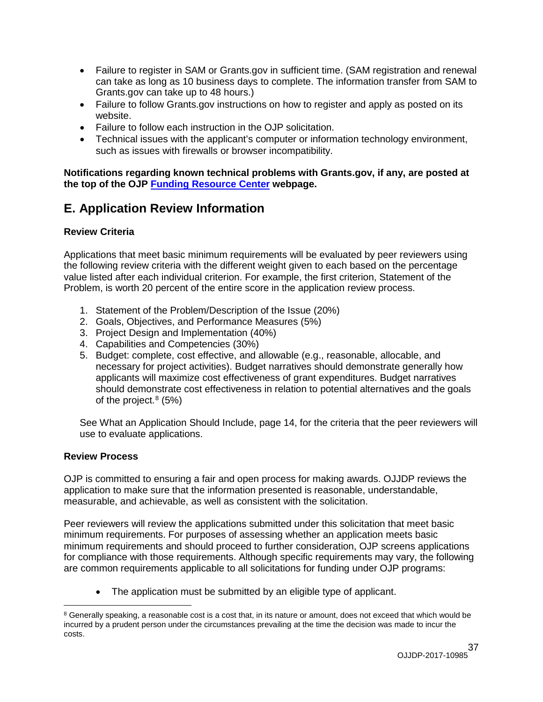- Failure to register in SAM or Grants.gov in sufficient time. (SAM registration and renewal can take as long as 10 business days to complete. The information transfer from SAM to Grants.gov can take up to 48 hours.)
- Failure to follow Grants.gov instructions on how to register and apply as posted on its website.
- Failure to follow each instruction in the OJP solicitation.
- Technical issues with the applicant's computer or information technology environment, such as issues with firewalls or browser incompatibility.

**Notifications regarding known technical problems with Grants.gov, if any, are posted at the top of the OJP [Funding Resource Center](http://ojp.gov/funding/index.htm) webpage.**

### <span id="page-36-0"></span>**E. Application Review Information**

#### <span id="page-36-1"></span>**Review Criteria**

Applications that meet basic minimum requirements will be evaluated by peer reviewers using the following review criteria with the different weight given to each based on the percentage value listed after each individual criterion. For example, the first criterion, Statement of the Problem, is worth 20 percent of the entire score in the application review process.

- 1. Statement of the Problem/Description of the Issue (20%)
- 2. Goals, Objectives, and Performance Measures (5%)
- 3. Project Design and Implementation (40%)
- 4. Capabilities and Competencies (30%)
- 5. Budget: complete, cost effective, and allowable (e.g., reasonable, allocable, and necessary for project activities). Budget narratives should demonstrate generally how applicants will maximize cost effectiveness of grant expenditures. Budget narratives should demonstrate cost effectiveness in relation to potential alternatives and the goals of the project. [8](#page-36-3) (5%)

See What an Application Should Include, page 14, for the criteria that the peer reviewers will use to evaluate applications.

#### <span id="page-36-2"></span>**Review Process**

 $\overline{a}$ 

OJP is committed to ensuring a fair and open process for making awards. OJJDP reviews the application to make sure that the information presented is reasonable, understandable, measurable, and achievable, as well as consistent with the solicitation.

Peer reviewers will review the applications submitted under this solicitation that meet basic minimum requirements. For purposes of assessing whether an application meets basic minimum requirements and should proceed to further consideration, OJP screens applications for compliance with those requirements. Although specific requirements may vary, the following are common requirements applicable to all solicitations for funding under OJP programs:

• The application must be submitted by an eligible type of applicant.

<span id="page-36-3"></span><sup>&</sup>lt;sup>8</sup> Generally speaking, a reasonable cost is a cost that, in its nature or amount, does not exceed that which would be incurred by a prudent person under the circumstances prevailing at the time the decision was made to incur the costs.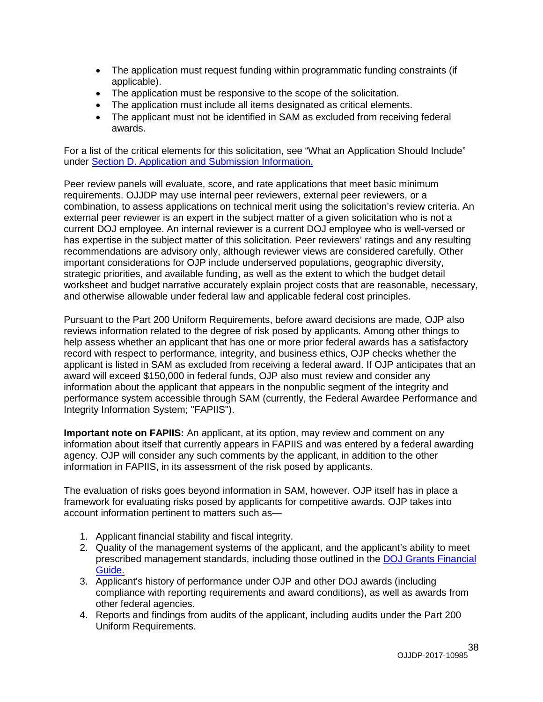- The application must request funding within programmatic funding constraints (if applicable).
- The application must be responsive to the scope of the solicitation.
- The application must include all items designated as critical elements.
- The applicant must not be identified in SAM as excluded from receiving federal awards.

For a list of the critical elements for this solicitation, see "What an Application Should Include" under [Section D. Application and Submission Information.](#page-13-0)

Peer review panels will evaluate, score, and rate applications that meet basic minimum requirements. OJJDP may use internal peer reviewers, external peer reviewers, or a combination, to assess applications on technical merit using the solicitation's review criteria. An external peer reviewer is an expert in the subject matter of a given solicitation who is not a current DOJ employee. An internal reviewer is a current DOJ employee who is well-versed or has expertise in the subject matter of this solicitation. Peer reviewers' ratings and any resulting recommendations are advisory only, although reviewer views are considered carefully. Other important considerations for OJP include underserved populations, geographic diversity, strategic priorities, and available funding, as well as the extent to which the budget detail worksheet and budget narrative accurately explain project costs that are reasonable, necessary, and otherwise allowable under federal law and applicable federal cost principles.

Pursuant to the Part 200 Uniform Requirements, before award decisions are made, OJP also reviews information related to the degree of risk posed by applicants. Among other things to help assess whether an applicant that has one or more prior federal awards has a satisfactory record with respect to performance, integrity, and business ethics, OJP checks whether the applicant is listed in SAM as excluded from receiving a federal award. If OJP anticipates that an award will exceed \$150,000 in federal funds, OJP also must review and consider any information about the applicant that appears in the nonpublic segment of the integrity and performance system accessible through SAM (currently, the Federal Awardee Performance and Integrity Information System; "FAPIIS").

**Important note on FAPIIS:** An applicant, at its option, may review and comment on any information about itself that currently appears in FAPIIS and was entered by a federal awarding agency. OJP will consider any such comments by the applicant, in addition to the other information in FAPIIS, in its assessment of the risk posed by applicants.

The evaluation of risks goes beyond information in SAM, however. OJP itself has in place a framework for evaluating risks posed by applicants for competitive awards. OJP takes into account information pertinent to matters such as—

- 1. Applicant financial stability and fiscal integrity.
- 2. Quality of the management systems of the applicant, and the applicant's ability to meet prescribed management standards, including those outlined in the [DOJ Grants Financial](http://ojp.gov/financialguide/DOJ/index.htm)  [Guide.](http://ojp.gov/financialguide/DOJ/index.htm)
- 3. Applicant's history of performance under OJP and other DOJ awards (including compliance with reporting requirements and award conditions), as well as awards from other federal agencies.
- 4. Reports and findings from audits of the applicant, including audits under the Part 200 Uniform Requirements.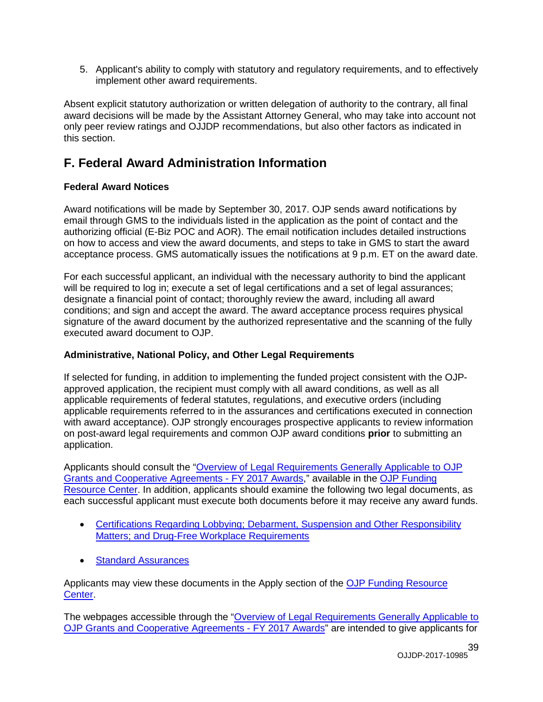5. Applicant's ability to comply with statutory and regulatory requirements, and to effectively implement other award requirements.

Absent explicit statutory authorization or written delegation of authority to the contrary, all final award decisions will be made by the Assistant Attorney General, who may take into account not only peer review ratings and OJJDP recommendations, but also other factors as indicated in this section.

### <span id="page-38-0"></span>**F. Federal Award Administration Information**

#### <span id="page-38-1"></span>**Federal Award Notices**

Award notifications will be made by September 30, 2017. OJP sends award notifications by email through GMS to the individuals listed in the application as the point of contact and the authorizing official (E-Biz POC and AOR). The email notification includes detailed instructions on how to access and view the award documents, and steps to take in GMS to start the award acceptance process. GMS automatically issues the notifications at 9 p.m. ET on the award date.

For each successful applicant, an individual with the necessary authority to bind the applicant will be required to log in; execute a set of legal certifications and a set of legal assurances; designate a financial point of contact; thoroughly review the award, including all award conditions; and sign and accept the award. The award acceptance process requires physical signature of the award document by the authorized representative and the scanning of the fully executed award document to OJP.

#### <span id="page-38-2"></span>**Administrative, National Policy, and Other Legal Requirements**

If selected for funding, in addition to implementing the funded project consistent with the OJPapproved application, the recipient must comply with all award conditions, as well as all applicable requirements of federal statutes, regulations, and executive orders (including applicable requirements referred to in the assurances and certifications executed in connection with award acceptance). OJP strongly encourages prospective applicants to review information on post-award legal requirements and common OJP award conditions **prior** to submitting an application.

Applicants should consult the ["Overview of Legal Requirements Generally Applicable to OJP](http://ojp.gov/funding/Explore/SolicitationRequirements/index.htm)  [Grants and Cooperative Agreements](http://ojp.gov/funding/Explore/SolicitationRequirements/index.htm) - FY 2017 Awards," available in the [OJP Funding](http://ojp.gov/funding/index.htm)  [Resource Center.](http://ojp.gov/funding/index.htm) In addition, applicants should examine the following two legal documents, as each successful applicant must execute both documents before it may receive any award funds.

- [Certifications Regarding Lobbying; Debarment, Suspension and Other Responsibility](http://ojp.gov/funding/Apply/Resources/Certifications.pdf)  [Matters; and Drug-Free Workplace Requirements](http://ojp.gov/funding/Apply/Resources/Certifications.pdf)
- [Standard Assurances](http://ojp.gov/funding/Apply/Resources/StandardAssurances.pdf)

Applicants may view these documents in the Apply section of the OJP Funding Resource [Center.](http://ojp.gov/funding/index.htm)

The webpages accessible through the ["Overview of Legal Requirements Generally Applicable to](http://ojp.gov/funding/Explore/SolicitationRequirements/index.htm)  [OJP Grants and Cooperative Agreements](http://ojp.gov/funding/Explore/SolicitationRequirements/index.htm) - FY 2017 Awards" are intended to give applicants for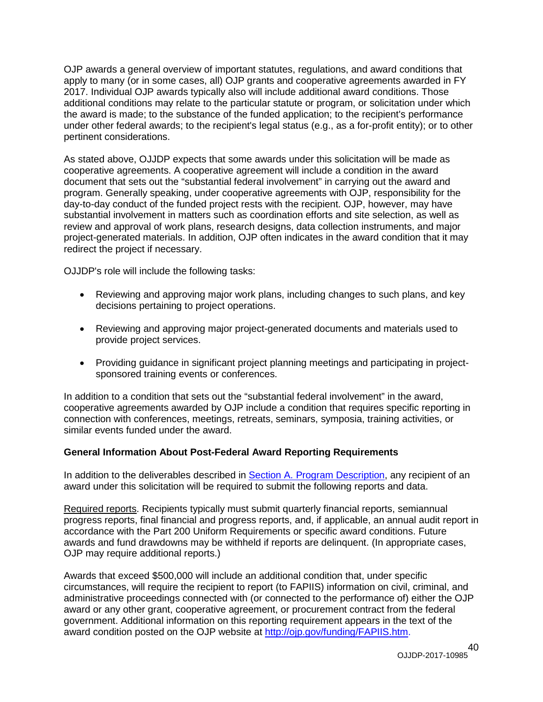OJP awards a general overview of important statutes, regulations, and award conditions that apply to many (or in some cases, all) OJP grants and cooperative agreements awarded in FY 2017. Individual OJP awards typically also will include additional award conditions. Those additional conditions may relate to the particular statute or program, or solicitation under which the award is made; to the substance of the funded application; to the recipient's performance under other federal awards; to the recipient's legal status (e.g., as a for-profit entity); or to other pertinent considerations.

As stated above, OJJDP expects that some awards under this solicitation will be made as cooperative agreements. A cooperative agreement will include a condition in the award document that sets out the "substantial federal involvement" in carrying out the award and program. Generally speaking, under cooperative agreements with OJP, responsibility for the day-to-day conduct of the funded project rests with the recipient. OJP, however, may have substantial involvement in matters such as coordination efforts and site selection, as well as review and approval of work plans, research designs, data collection instruments, and major project-generated materials. In addition, OJP often indicates in the award condition that it may redirect the project if necessary.

OJJDP's role will include the following tasks:

- Reviewing and approving major work plans, including changes to such plans, and key decisions pertaining to project operations.
- Reviewing and approving major project-generated documents and materials used to provide project services.
- Providing guidance in significant project planning meetings and participating in projectsponsored training events or conferences.

In addition to a condition that sets out the "substantial federal involvement" in the award, cooperative agreements awarded by OJP include a condition that requires specific reporting in connection with conferences, meetings, retreats, seminars, symposia, training activities, or similar events funded under the award.

#### <span id="page-39-0"></span>**General Information About Post-Federal Award Reporting Requirements**

In addition to the deliverables described in [Section A. Program Description,](#page-4-3) any recipient of an award under this solicitation will be required to submit the following reports and data.

Required reports. Recipients typically must submit quarterly financial reports, semiannual progress reports, final financial and progress reports, and, if applicable, an annual audit report in accordance with the Part 200 Uniform Requirements or specific award conditions. Future awards and fund drawdowns may be withheld if reports are delinquent. (In appropriate cases, OJP may require additional reports.)

Awards that exceed \$500,000 will include an additional condition that, under specific circumstances, will require the recipient to report (to FAPIIS) information on civil, criminal, and administrative proceedings connected with (or connected to the performance of) either the OJP award or any other grant, cooperative agreement, or procurement contract from the federal government. Additional information on this reporting requirement appears in the text of the award condition posted on the OJP website at [http://ojp.gov/funding/FAPIIS.htm.](http://ojp.gov/funding/FAPIIS.htm)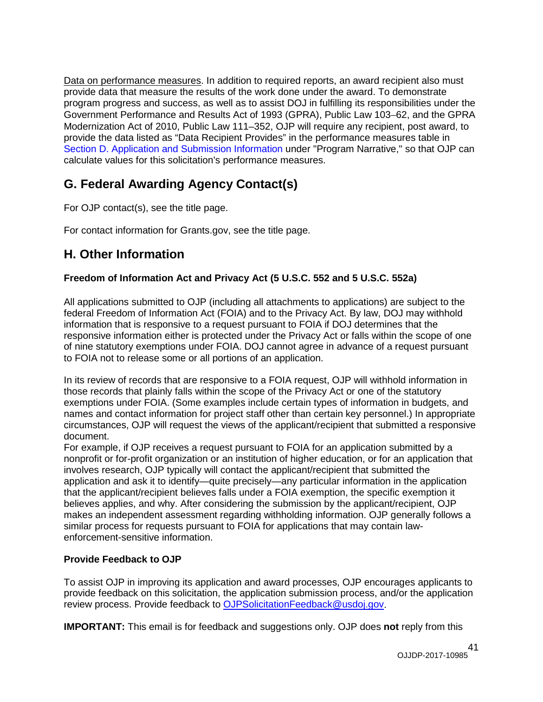Data on performance measures. In addition to required reports, an award recipient also must provide data that measure the results of the work done under the award. To demonstrate program progress and success, as well as to assist DOJ in fulfilling its responsibilities under the Government Performance and Results Act of 1993 (GPRA), Public Law 103–62, and the GPRA Modernization Act of 2010, Public Law 111–352, OJP will require any recipient, post award, to provide the data listed as "Data Recipient Provides" in the performance measures table in [Section D. Application and Submission Information](#page-13-0) under "Program Narrative," so that OJP can calculate values for this solicitation's performance measures.

### <span id="page-40-0"></span>**G. Federal Awarding Agency Contact(s)**

For OJP contact(s), see the title page.

For contact information for Grants.gov, see the title page.

### <span id="page-40-1"></span>**H. Other Information**

#### <span id="page-40-2"></span>**Freedom of Information Act and Privacy Act (5 U.S.C. 552 and 5 U.S.C. 552a)**

All applications submitted to OJP (including all attachments to applications) are subject to the federal Freedom of Information Act (FOIA) and to the Privacy Act. By law, DOJ may withhold information that is responsive to a request pursuant to FOIA if DOJ determines that the responsive information either is protected under the Privacy Act or falls within the scope of one of nine statutory exemptions under FOIA. DOJ cannot agree in advance of a request pursuant to FOIA not to release some or all portions of an application.

In its review of records that are responsive to a FOIA request, OJP will withhold information in those records that plainly falls within the scope of the Privacy Act or one of the statutory exemptions under FOIA. (Some examples include certain types of information in budgets, and names and contact information for project staff other than certain key personnel.) In appropriate circumstances, OJP will request the views of the applicant/recipient that submitted a responsive document.

For example, if OJP receives a request pursuant to FOIA for an application submitted by a nonprofit or for-profit organization or an institution of higher education, or for an application that involves research, OJP typically will contact the applicant/recipient that submitted the application and ask it to identify—quite precisely—any particular information in the application that the applicant/recipient believes falls under a FOIA exemption, the specific exemption it believes applies, and why. After considering the submission by the applicant/recipient, OJP makes an independent assessment regarding withholding information. OJP generally follows a similar process for requests pursuant to FOIA for applications that may contain lawenforcement-sensitive information.

#### <span id="page-40-3"></span>**Provide Feedback to OJP**

To assist OJP in improving its application and award processes, OJP encourages applicants to provide feedback on this solicitation, the application submission process, and/or the application review process. Provide feedback to [OJPSolicitationFeedback@usdoj.gov.](mailto:OJPSolicitationFeedback@usdoj.gov)

**IMPORTANT:** This email is for feedback and suggestions only. OJP does **not** reply from this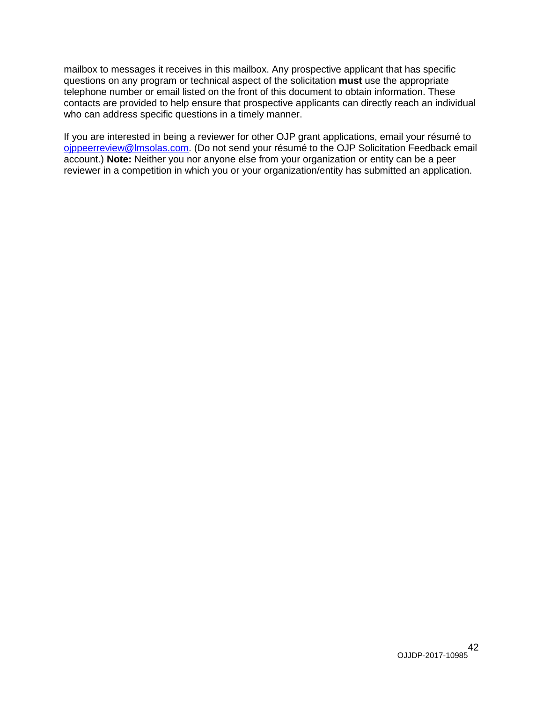mailbox to messages it receives in this mailbox. Any prospective applicant that has specific questions on any program or technical aspect of the solicitation **must** use the appropriate telephone number or email listed on the front of this document to obtain information. These contacts are provided to help ensure that prospective applicants can directly reach an individual who can address specific questions in a timely manner.

If you are interested in being a reviewer for other OJP grant applications, email your résumé to [ojppeerreview@lmsolas.com.](mailto:ojppeerreview@lmsolas.com) (Do not send your résumé to the OJP Solicitation Feedback email account.) **Note:** Neither you nor anyone else from your organization or entity can be a peer reviewer in a competition in which you or your organization/entity has submitted an application.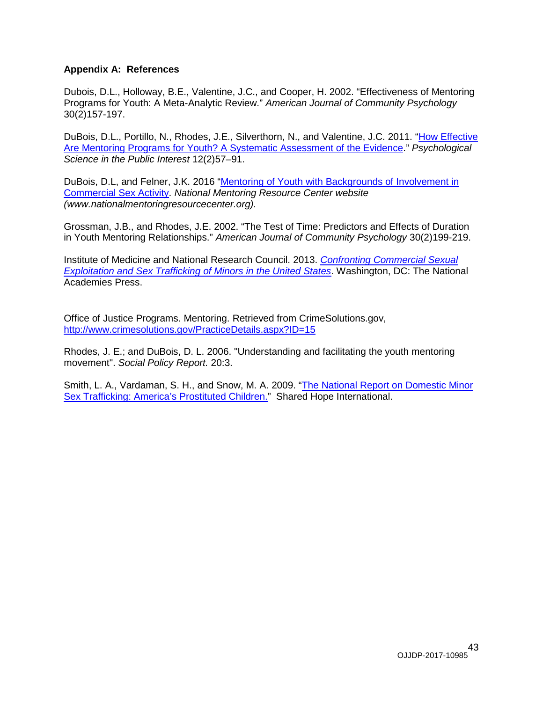#### <span id="page-42-0"></span>**Appendix A: References**

Dubois, D.L., Holloway, B.E., Valentine, J.C., and Cooper, H. 2002. "Effectiveness of Mentoring Programs for Youth: A Meta-Analytic Review." *American Journal of Community Psychology* 30(2)157-197.

DuBois, D.L., Portillo, N., Rhodes, J.E., Silverthorn, N., and Valentine, J.C. 2011. ["How Effective](http://www.rhodeslab.org/files/DuBoisetalMeta.pdf)  [Are Mentoring Programs for Youth? A Systematic Assessment of the Evidence.](http://www.rhodeslab.org/files/DuBoisetalMeta.pdf)" *Psychological Science in the Public Interest* 12(2)57–91.

DuBois, D.L, and Felner, J.K. 2016 ["Mentoring of Youth with Backgrounds of Involvement in](http://www.nationalmentoringresourcecenter.org/index.php/what-works-in-mentoring/model-and-population-reviews.html?id=125)  [Commercial Sex Activity.](http://www.nationalmentoringresourcecenter.org/index.php/what-works-in-mentoring/model-and-population-reviews.html?id=125) *National Mentoring Resource Center website (www.nationalmentoringresourcecenter.org).*

Grossman, J.B., and Rhodes, J.E. 2002. "The Test of Time: Predictors and Effects of Duration in Youth Mentoring Relationships." *American Journal of Community Psychology* 30(2)199-219.

Institute of Medicine and National Research Council. 2013. *[Confronting Commercial Sexual](http://www.nationalacademies.org/hmd/Reports/2013/Confronting-Commercial-Sexual-Exploitation-and-Sex-Trafficking-of-Minors-in-the-United-States.aspx)  [Exploitation and Sex Trafficking of Minors in the United States](http://www.nationalacademies.org/hmd/Reports/2013/Confronting-Commercial-Sexual-Exploitation-and-Sex-Trafficking-of-Minors-in-the-United-States.aspx)*. Washington, DC: The National Academies Press.

Office of Justice Programs. Mentoring. Retrieved from CrimeSolutions.gov, <http://www.crimesolutions.gov/PracticeDetails.aspx?ID=15>

Rhodes, J. E.; and DuBois, D. L. 2006. "Understanding and facilitating the youth mentoring movement". *Social Policy Report.* 20:3.

Smith, L. A., Vardaman, S. H., and Snow, M. A. 2009. ["The National Report on Domestic Minor](http://sharedhope.org/wp-content/uploads/2012/09/SHI_National_Report_on_DMST_2009.pdf)  Sex [Trafficking: America's Prostituted Children."](http://sharedhope.org/wp-content/uploads/2012/09/SHI_National_Report_on_DMST_2009.pdf) Shared Hope International.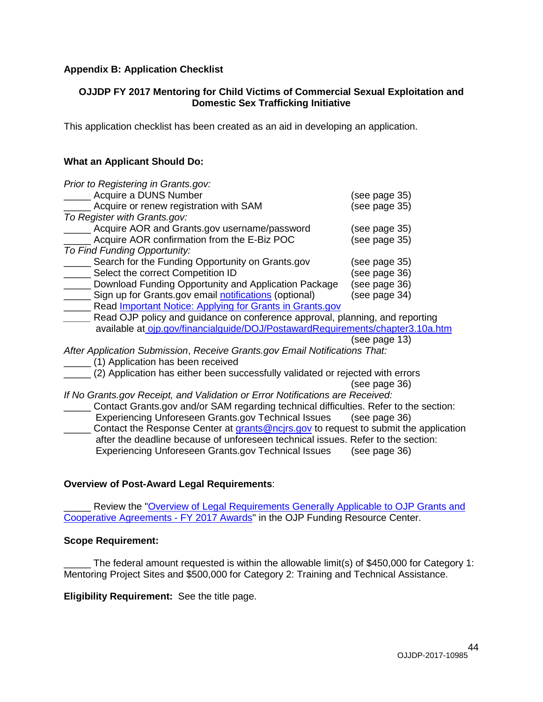#### <span id="page-43-0"></span>**Appendix B: Application Checklist**

#### **OJJDP FY 2017 Mentoring for Child Victims of Commercial Sexual Exploitation and Domestic Sex Trafficking Initiative**

This application checklist has been created as an aid in developing an application.

#### **What an Applicant Should Do:**

| Prior to Registering in Grants.gov:                                            |               |
|--------------------------------------------------------------------------------|---------------|
| Acquire a DUNS Number                                                          | (see page 35) |
| Acquire or renew registration with SAM                                         | (see page 35) |
| To Register with Grants.gov:                                                   |               |
| Acquire AOR and Grants.gov username/password                                   | (see page 35) |
| Acquire AOR confirmation from the E-Biz POC                                    | (see page 35) |
| To Find Funding Opportunity:                                                   |               |
| Search for the Funding Opportunity on Grants.gov                               | (see page 35) |
| Select the correct Competition ID                                              | (see page 36) |
| Download Funding Opportunity and Application Package                           | (see page 36) |
| Sign up for Grants.gov email notifications (optional)                          | (see page 34) |
| Read <b>Important Notice: Applying for Grants in Grants.gov</b>                |               |
| Read OJP policy and guidance on conference approval, planning, and reporting   |               |
| available at ojp.gov/financialguide/DOJ/PostawardRequirements/chapter3.10a.htm |               |
|                                                                                | (see page 13) |
| After Application Submission, Receive Grants.gov Email Notifications That:     |               |
| (1) Application has been received                                              |               |
| (2) Application has either been successfully validated or rejected with errors |               |
|                                                                                | (see page 36) |
| If No Opente any Desember and Validation on Equal Natifications of             |               |

*If No Grants.gov Receipt, and Validation or Error Notifications are Received:* \_\_\_\_\_ Contact Grants.gov and/or SAM regarding technical difficulties. Refer to the section: Experiencing Unforeseen Grants.gov Technical Issues (see page 36) Contact the Response Center at [grants@ncjrs.gov](mailto:grants@ncjrs.gov) to request to submit the application after the deadline because of unforeseen technical issues. Refer to the section: Experiencing Unforeseen Grants.gov Technical Issues (see page 36)

#### **Overview of Post-Award Legal Requirements**:

Review the "Overview of Legal Requirements Generally Applicable to OJP Grants and [Cooperative Agreements -](http://ojp.gov/funding/Explore/SolicitationRequirements/index.htm) FY 2017 Awards" in the OJP Funding Resource Center.

#### **Scope Requirement:**

The federal amount requested is within the allowable limit(s) of \$450,000 for Category 1: Mentoring Project Sites and \$500,000 for Category 2: Training and Technical Assistance.

#### **Eligibility Requirement:** See the title page.